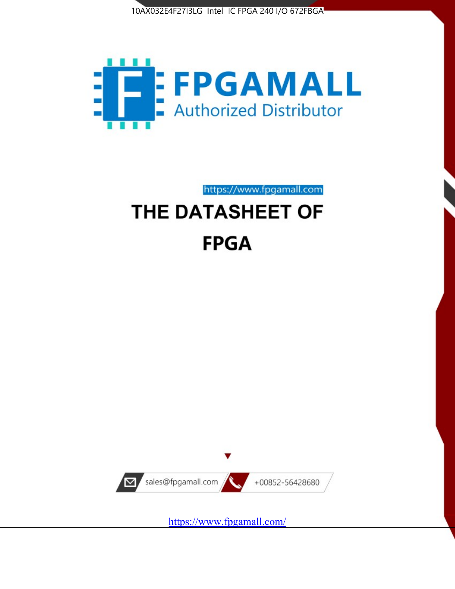



https://www.fpgamall.com THE DATASHEET OF

# **FPGA**



<https://www.fpgamall.com/>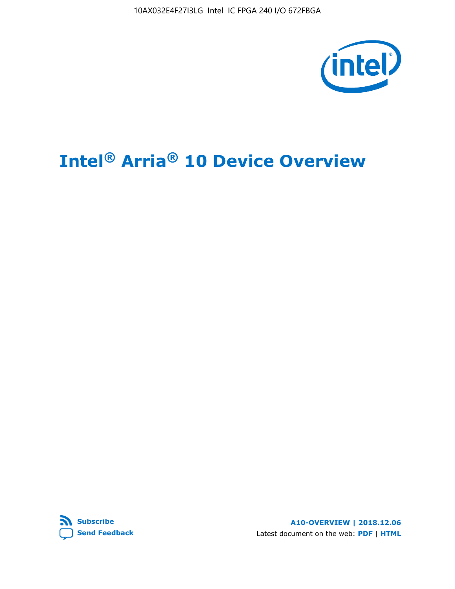10AX032E4F27I3LG Intel IC FPGA 240 I/O 672FBGA



# **Intel® Arria® 10 Device Overview**



**A10-OVERVIEW | 2018.12.06** Latest document on the web: **[PDF](https://www.intel.com/content/dam/www/programmable/us/en/pdfs/literature/hb/arria-10/a10_overview.pdf)** | **[HTML](https://www.intel.com/content/www/us/en/programmable/documentation/sam1403480274650.html)**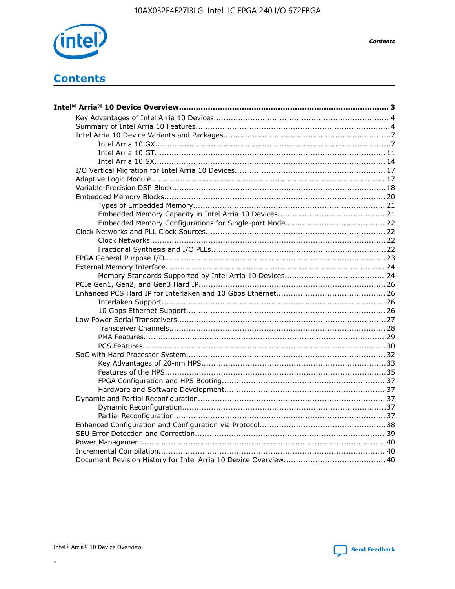

**Contents** 



**Contents**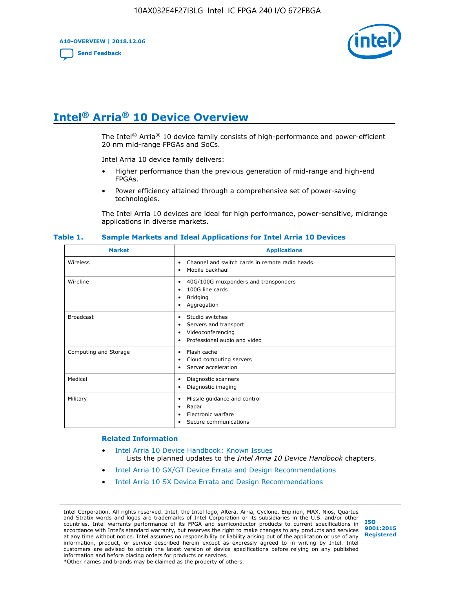**A10-OVERVIEW | 2018.12.06**

**[Send Feedback](mailto:FPGAtechdocfeedback@intel.com?subject=Feedback%20on%20Intel%20Arria%2010%20Device%20Overview%20(A10-OVERVIEW%202018.12.06)&body=We%20appreciate%20your%20feedback.%20In%20your%20comments,%20also%20specify%20the%20page%20number%20or%20paragraph.%20Thank%20you.)**



# **Intel® Arria® 10 Device Overview**

The Intel<sup>®</sup> Arria<sup>®</sup> 10 device family consists of high-performance and power-efficient 20 nm mid-range FPGAs and SoCs.

Intel Arria 10 device family delivers:

- Higher performance than the previous generation of mid-range and high-end FPGAs.
- Power efficiency attained through a comprehensive set of power-saving technologies.

The Intel Arria 10 devices are ideal for high performance, power-sensitive, midrange applications in diverse markets.

| <b>Market</b>         | <b>Applications</b>                                                                                               |
|-----------------------|-------------------------------------------------------------------------------------------------------------------|
| Wireless              | Channel and switch cards in remote radio heads<br>٠<br>Mobile backhaul<br>٠                                       |
| Wireline              | 40G/100G muxponders and transponders<br>٠<br>100G line cards<br>٠<br><b>Bridging</b><br>٠<br>Aggregation<br>٠     |
| <b>Broadcast</b>      | Studio switches<br>٠<br>Servers and transport<br>٠<br>Videoconferencing<br>٠<br>Professional audio and video<br>٠ |
| Computing and Storage | Flash cache<br>٠<br>Cloud computing servers<br>٠<br>Server acceleration<br>٠                                      |
| Medical               | Diagnostic scanners<br>٠<br>Diagnostic imaging<br>٠                                                               |
| Military              | Missile guidance and control<br>٠<br>Radar<br>٠<br>Electronic warfare<br>٠<br>Secure communications<br>٠          |

#### **Table 1. Sample Markets and Ideal Applications for Intel Arria 10 Devices**

#### **Related Information**

- [Intel Arria 10 Device Handbook: Known Issues](http://www.altera.com/support/kdb/solutions/rd07302013_646.html) Lists the planned updates to the *Intel Arria 10 Device Handbook* chapters.
- [Intel Arria 10 GX/GT Device Errata and Design Recommendations](https://www.intel.com/content/www/us/en/programmable/documentation/agz1493851706374.html#yqz1494433888646)
- [Intel Arria 10 SX Device Errata and Design Recommendations](https://www.intel.com/content/www/us/en/programmable/documentation/cru1462832385668.html#cru1462832558642)

Intel Corporation. All rights reserved. Intel, the Intel logo, Altera, Arria, Cyclone, Enpirion, MAX, Nios, Quartus and Stratix words and logos are trademarks of Intel Corporation or its subsidiaries in the U.S. and/or other countries. Intel warrants performance of its FPGA and semiconductor products to current specifications in accordance with Intel's standard warranty, but reserves the right to make changes to any products and services at any time without notice. Intel assumes no responsibility or liability arising out of the application or use of any information, product, or service described herein except as expressly agreed to in writing by Intel. Intel customers are advised to obtain the latest version of device specifications before relying on any published information and before placing orders for products or services. \*Other names and brands may be claimed as the property of others.

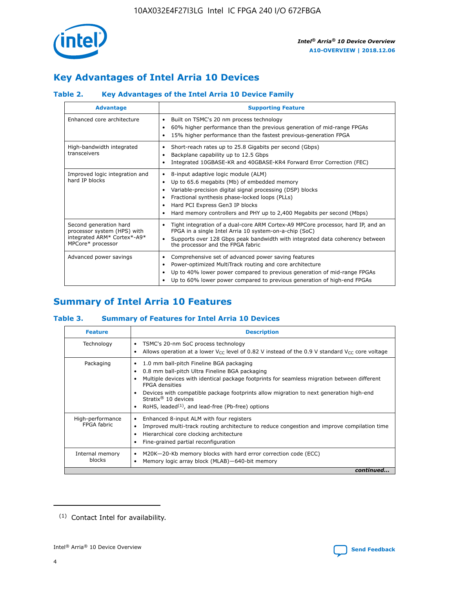

# **Key Advantages of Intel Arria 10 Devices**

## **Table 2. Key Advantages of the Intel Arria 10 Device Family**

| <b>Advantage</b>                                                                                          | <b>Supporting Feature</b>                                                                                                                                                                                                                                                                                                |
|-----------------------------------------------------------------------------------------------------------|--------------------------------------------------------------------------------------------------------------------------------------------------------------------------------------------------------------------------------------------------------------------------------------------------------------------------|
| Enhanced core architecture                                                                                | Built on TSMC's 20 nm process technology<br>٠<br>60% higher performance than the previous generation of mid-range FPGAs<br>٠<br>15% higher performance than the fastest previous-generation FPGA<br>٠                                                                                                                    |
| High-bandwidth integrated<br>transceivers                                                                 | Short-reach rates up to 25.8 Gigabits per second (Gbps)<br>٠<br>Backplane capability up to 12.5 Gbps<br>٠<br>Integrated 10GBASE-KR and 40GBASE-KR4 Forward Error Correction (FEC)<br>٠                                                                                                                                   |
| Improved logic integration and<br>hard IP blocks                                                          | 8-input adaptive logic module (ALM)<br>٠<br>Up to 65.6 megabits (Mb) of embedded memory<br>٠<br>Variable-precision digital signal processing (DSP) blocks<br>Fractional synthesis phase-locked loops (PLLs)<br>Hard PCI Express Gen3 IP blocks<br>Hard memory controllers and PHY up to 2,400 Megabits per second (Mbps) |
| Second generation hard<br>processor system (HPS) with<br>integrated ARM* Cortex*-A9*<br>MPCore* processor | Tight integration of a dual-core ARM Cortex-A9 MPCore processor, hard IP, and an<br>٠<br>FPGA in a single Intel Arria 10 system-on-a-chip (SoC)<br>Supports over 128 Gbps peak bandwidth with integrated data coherency between<br>$\bullet$<br>the processor and the FPGA fabric                                        |
| Advanced power savings                                                                                    | Comprehensive set of advanced power saving features<br>٠<br>Power-optimized MultiTrack routing and core architecture<br>٠<br>Up to 40% lower power compared to previous generation of mid-range FPGAs<br>٠<br>Up to 60% lower power compared to previous generation of high-end FPGAs<br>٠                               |

# **Summary of Intel Arria 10 Features**

## **Table 3. Summary of Features for Intel Arria 10 Devices**

| <b>Feature</b>                  | <b>Description</b>                                                                                                                                                                                                                                                                                                                                                                                 |
|---------------------------------|----------------------------------------------------------------------------------------------------------------------------------------------------------------------------------------------------------------------------------------------------------------------------------------------------------------------------------------------------------------------------------------------------|
| Technology                      | TSMC's 20-nm SoC process technology<br>Allows operation at a lower $V_{\text{CC}}$ level of 0.82 V instead of the 0.9 V standard $V_{\text{CC}}$ core voltage                                                                                                                                                                                                                                      |
| Packaging                       | 1.0 mm ball-pitch Fineline BGA packaging<br>٠<br>0.8 mm ball-pitch Ultra Fineline BGA packaging<br>Multiple devices with identical package footprints for seamless migration between different<br><b>FPGA</b> densities<br>Devices with compatible package footprints allow migration to next generation high-end<br>Stratix $@10$ devices<br>RoHS, leaded $(1)$ , and lead-free (Pb-free) options |
| High-performance<br>FPGA fabric | Enhanced 8-input ALM with four registers<br>Improved multi-track routing architecture to reduce congestion and improve compilation time<br>Hierarchical core clocking architecture<br>Fine-grained partial reconfiguration                                                                                                                                                                         |
| Internal memory<br>blocks       | M20K-20-Kb memory blocks with hard error correction code (ECC)<br>Memory logic array block (MLAB)-640-bit memory                                                                                                                                                                                                                                                                                   |
|                                 | continued                                                                                                                                                                                                                                                                                                                                                                                          |



<sup>(1)</sup> Contact Intel for availability.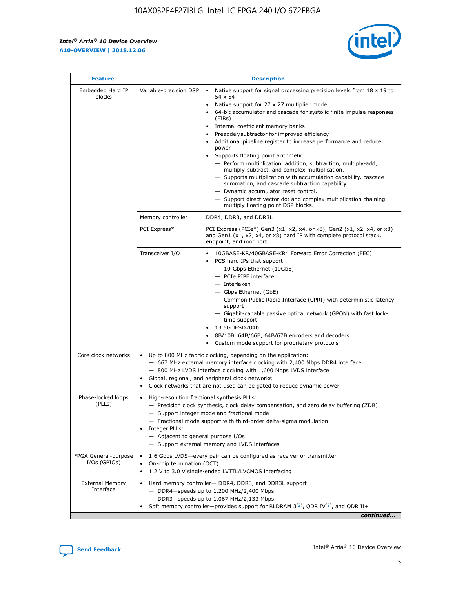$\mathsf{r}$ 



| <b>Feature</b>                         |                                                                                                                | <b>Description</b>                                                                                                                                                                                                                                                                                                                                                                                                                                                                                                                                                                                                                                                                                                                                                                                                                          |
|----------------------------------------|----------------------------------------------------------------------------------------------------------------|---------------------------------------------------------------------------------------------------------------------------------------------------------------------------------------------------------------------------------------------------------------------------------------------------------------------------------------------------------------------------------------------------------------------------------------------------------------------------------------------------------------------------------------------------------------------------------------------------------------------------------------------------------------------------------------------------------------------------------------------------------------------------------------------------------------------------------------------|
| Embedded Hard IP<br>blocks             | Variable-precision DSP                                                                                         | Native support for signal processing precision levels from $18 \times 19$ to<br>$\bullet$<br>54 x 54<br>Native support for 27 x 27 multiplier mode<br>64-bit accumulator and cascade for systolic finite impulse responses<br>(FIRS)<br>Internal coefficient memory banks<br>٠<br>Preadder/subtractor for improved efficiency<br>Additional pipeline register to increase performance and reduce<br>power<br>Supports floating point arithmetic:<br>- Perform multiplication, addition, subtraction, multiply-add,<br>multiply-subtract, and complex multiplication.<br>- Supports multiplication with accumulation capability, cascade<br>summation, and cascade subtraction capability.<br>- Dynamic accumulator reset control.<br>- Support direct vector dot and complex multiplication chaining<br>multiply floating point DSP blocks. |
|                                        | Memory controller                                                                                              | DDR4, DDR3, and DDR3L                                                                                                                                                                                                                                                                                                                                                                                                                                                                                                                                                                                                                                                                                                                                                                                                                       |
|                                        | PCI Express*                                                                                                   | PCI Express (PCIe*) Gen3 (x1, x2, x4, or x8), Gen2 (x1, x2, x4, or x8)<br>and Gen1 (x1, x2, x4, or x8) hard IP with complete protocol stack,<br>endpoint, and root port                                                                                                                                                                                                                                                                                                                                                                                                                                                                                                                                                                                                                                                                     |
|                                        | Transceiver I/O                                                                                                | 10GBASE-KR/40GBASE-KR4 Forward Error Correction (FEC)<br>PCS hard IPs that support:<br>- 10-Gbps Ethernet (10GbE)<br>- PCIe PIPE interface<br>- Interlaken<br>- Gbps Ethernet (GbE)<br>- Common Public Radio Interface (CPRI) with deterministic latency<br>support<br>- Gigabit-capable passive optical network (GPON) with fast lock-<br>time support<br>13.5G JESD204b<br>8B/10B, 64B/66B, 64B/67B encoders and decoders<br>Custom mode support for proprietary protocols                                                                                                                                                                                                                                                                                                                                                                |
| Core clock networks                    | $\bullet$                                                                                                      | Up to 800 MHz fabric clocking, depending on the application:<br>- 667 MHz external memory interface clocking with 2,400 Mbps DDR4 interface<br>- 800 MHz LVDS interface clocking with 1,600 Mbps LVDS interface<br>Global, regional, and peripheral clock networks<br>Clock networks that are not used can be gated to reduce dynamic power                                                                                                                                                                                                                                                                                                                                                                                                                                                                                                 |
| Phase-locked loops<br>(PLLs)           | High-resolution fractional synthesis PLLs:<br>$\bullet$<br>Integer PLLs:<br>- Adjacent to general purpose I/Os | - Precision clock synthesis, clock delay compensation, and zero delay buffering (ZDB)<br>- Support integer mode and fractional mode<br>- Fractional mode support with third-order delta-sigma modulation<br>- Support external memory and LVDS interfaces                                                                                                                                                                                                                                                                                                                                                                                                                                                                                                                                                                                   |
| FPGA General-purpose<br>$I/Os$ (GPIOs) | On-chip termination (OCT)<br>$\bullet$                                                                         | 1.6 Gbps LVDS-every pair can be configured as receiver or transmitter<br>1.2 V to 3.0 V single-ended LVTTL/LVCMOS interfacing                                                                                                                                                                                                                                                                                                                                                                                                                                                                                                                                                                                                                                                                                                               |
| <b>External Memory</b><br>Interface    |                                                                                                                | Hard memory controller- DDR4, DDR3, and DDR3L support<br>$-$ DDR4 $-$ speeds up to 1,200 MHz/2,400 Mbps<br>- DDR3-speeds up to 1,067 MHz/2,133 Mbps<br>Soft memory controller—provides support for RLDRAM $3^{(2)}$ , QDR IV $(2)$ , and QDR II+<br>continued                                                                                                                                                                                                                                                                                                                                                                                                                                                                                                                                                                               |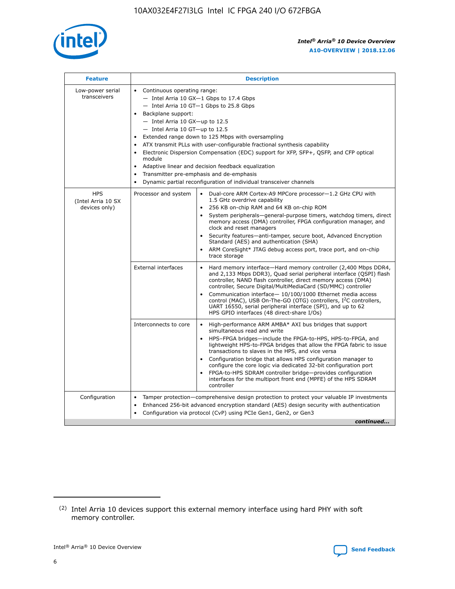

| <b>Feature</b>                                    | <b>Description</b>                                                                                                                                                                                                                                                                                                                                                                                                                                                                                                                                                                                                                                                        |
|---------------------------------------------------|---------------------------------------------------------------------------------------------------------------------------------------------------------------------------------------------------------------------------------------------------------------------------------------------------------------------------------------------------------------------------------------------------------------------------------------------------------------------------------------------------------------------------------------------------------------------------------------------------------------------------------------------------------------------------|
| Low-power serial<br>transceivers                  | • Continuous operating range:<br>- Intel Arria 10 GX-1 Gbps to 17.4 Gbps<br>$-$ Intel Arria 10 GT $-1$ Gbps to 25.8 Gbps<br>Backplane support:<br>$\bullet$<br>$-$ Intel Arria 10 GX-up to 12.5<br>$-$ Intel Arria 10 GT-up to 12.5<br>Extended range down to 125 Mbps with oversampling<br>ATX transmit PLLs with user-configurable fractional synthesis capability<br>Electronic Dispersion Compensation (EDC) support for XFP, SFP+, OSFP, and CFP optical<br>module<br>Adaptive linear and decision feedback equalization<br>$\bullet$<br>Transmitter pre-emphasis and de-emphasis<br>$\bullet$<br>Dynamic partial reconfiguration of individual transceiver channels |
| <b>HPS</b><br>(Intel Arria 10 SX<br>devices only) | Dual-core ARM Cortex-A9 MPCore processor-1.2 GHz CPU with<br>Processor and system<br>$\bullet$<br>1.5 GHz overdrive capability<br>256 KB on-chip RAM and 64 KB on-chip ROM<br>System peripherals-general-purpose timers, watchdog timers, direct<br>memory access (DMA) controller, FPGA configuration manager, and<br>clock and reset managers<br>• Security features—anti-tamper, secure boot, Advanced Encryption<br>Standard (AES) and authentication (SHA)<br>ARM CoreSight* JTAG debug access port, trace port, and on-chip<br>$\bullet$<br>trace storage                                                                                                           |
|                                                   | <b>External interfaces</b><br>Hard memory interface—Hard memory controller (2,400 Mbps DDR4,<br>and 2,133 Mbps DDR3), Quad serial peripheral interface (QSPI) flash<br>controller, NAND flash controller, direct memory access (DMA)<br>controller, Secure Digital/MultiMediaCard (SD/MMC) controller<br>Communication interface-10/100/1000 Ethernet media access<br>$\bullet$<br>control (MAC), USB On-The-GO (OTG) controllers, I <sup>2</sup> C controllers,<br>UART 16550, serial peripheral interface (SPI), and up to 62<br>HPS GPIO interfaces (48 direct-share I/Os)                                                                                             |
|                                                   | Interconnects to core<br>• High-performance ARM AMBA* AXI bus bridges that support<br>simultaneous read and write<br>HPS-FPGA bridges-include the FPGA-to-HPS, HPS-to-FPGA, and<br>$\bullet$<br>lightweight HPS-to-FPGA bridges that allow the FPGA fabric to issue<br>transactions to slaves in the HPS, and vice versa<br>Configuration bridge that allows HPS configuration manager to<br>configure the core logic via dedicated 32-bit configuration port<br>FPGA-to-HPS SDRAM controller bridge-provides configuration<br>interfaces for the multiport front end (MPFE) of the HPS SDRAM<br>controller                                                               |
| Configuration                                     | Tamper protection—comprehensive design protection to protect your valuable IP investments<br>Enhanced 256-bit advanced encryption standard (AES) design security with authentication<br>$\bullet$<br>Configuration via protocol (CvP) using PCIe Gen1, Gen2, or Gen3<br>continued                                                                                                                                                                                                                                                                                                                                                                                         |

<sup>(2)</sup> Intel Arria 10 devices support this external memory interface using hard PHY with soft memory controller.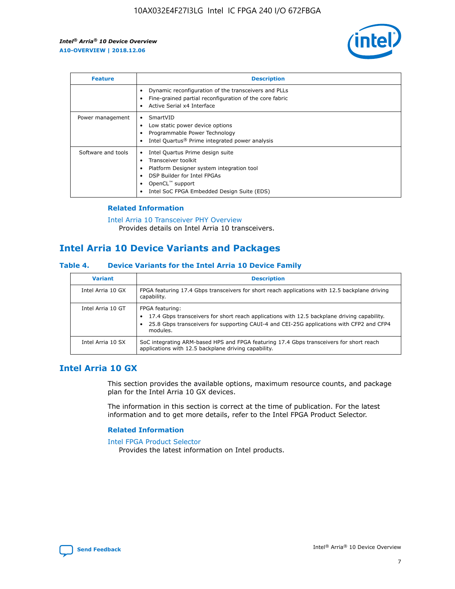

| <b>Feature</b>     | <b>Description</b>                                                                                                                                                                                               |
|--------------------|------------------------------------------------------------------------------------------------------------------------------------------------------------------------------------------------------------------|
|                    | Dynamic reconfiguration of the transceivers and PLLs<br>Fine-grained partial reconfiguration of the core fabric<br>Active Serial x4 Interface<br>$\bullet$                                                       |
| Power management   | SmartVID<br>Low static power device options<br>Programmable Power Technology<br>Intel Quartus <sup>®</sup> Prime integrated power analysis                                                                       |
| Software and tools | Intel Quartus Prime design suite<br>Transceiver toolkit<br>Platform Designer system integration tool<br>DSP Builder for Intel FPGAs<br>OpenCL <sup>™</sup> support<br>Intel SoC FPGA Embedded Design Suite (EDS) |

## **Related Information**

[Intel Arria 10 Transceiver PHY Overview](https://www.intel.com/content/www/us/en/programmable/documentation/nik1398707230472.html#nik1398706768037) Provides details on Intel Arria 10 transceivers.

## **Intel Arria 10 Device Variants and Packages**

#### **Table 4. Device Variants for the Intel Arria 10 Device Family**

| <b>Variant</b>    | <b>Description</b>                                                                                                                                                                                                     |
|-------------------|------------------------------------------------------------------------------------------------------------------------------------------------------------------------------------------------------------------------|
| Intel Arria 10 GX | FPGA featuring 17.4 Gbps transceivers for short reach applications with 12.5 backplane driving<br>capability.                                                                                                          |
| Intel Arria 10 GT | FPGA featuring:<br>17.4 Gbps transceivers for short reach applications with 12.5 backplane driving capability.<br>25.8 Gbps transceivers for supporting CAUI-4 and CEI-25G applications with CFP2 and CFP4<br>modules. |
| Intel Arria 10 SX | SoC integrating ARM-based HPS and FPGA featuring 17.4 Gbps transceivers for short reach<br>applications with 12.5 backplane driving capability.                                                                        |

## **Intel Arria 10 GX**

This section provides the available options, maximum resource counts, and package plan for the Intel Arria 10 GX devices.

The information in this section is correct at the time of publication. For the latest information and to get more details, refer to the Intel FPGA Product Selector.

#### **Related Information**

#### [Intel FPGA Product Selector](http://www.altera.com/products/selector/psg-selector.html) Provides the latest information on Intel products.

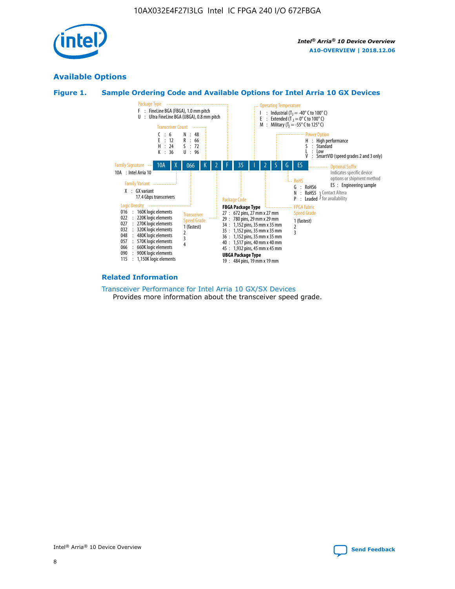

## **Available Options**





#### **Related Information**

#### [Transceiver Performance for Intel Arria 10 GX/SX Devices](https://www.intel.com/content/www/us/en/programmable/documentation/mcn1413182292568.html#mcn1413213965502) Provides more information about the transceiver speed grade.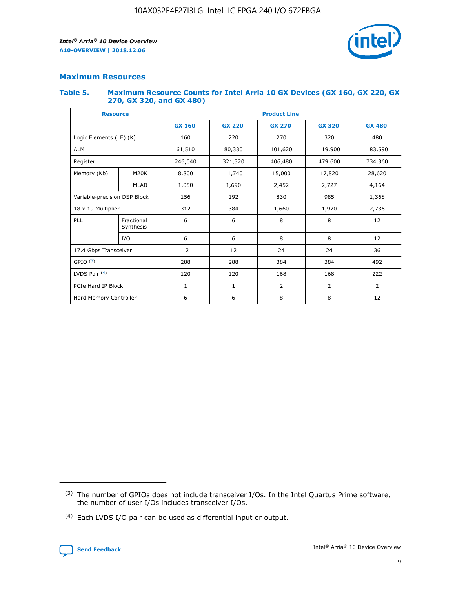

## **Maximum Resources**

#### **Table 5. Maximum Resource Counts for Intel Arria 10 GX Devices (GX 160, GX 220, GX 270, GX 320, and GX 480)**

| <b>Resource</b>              |                         | <b>Product Line</b> |                                                 |                |                |                |  |  |
|------------------------------|-------------------------|---------------------|-------------------------------------------------|----------------|----------------|----------------|--|--|
|                              |                         | <b>GX 160</b>       | <b>GX 220</b><br><b>GX 270</b><br><b>GX 320</b> |                |                | <b>GX 480</b>  |  |  |
| Logic Elements (LE) (K)      |                         | 160                 | 220                                             | 270            | 320            | 480            |  |  |
| <b>ALM</b>                   |                         | 61,510              | 80,330                                          | 101,620        | 119,900        | 183,590        |  |  |
| Register                     |                         | 246,040             | 406,480<br>321,320                              |                | 479,600        | 734,360        |  |  |
| Memory (Kb)                  | M <sub>20</sub> K       | 8,800               | 11,740                                          | 15,000         | 17,820         | 28,620         |  |  |
|                              | <b>MLAB</b>             | 1,050               | 1,690                                           | 2,452          | 2,727          | 4,164          |  |  |
| Variable-precision DSP Block |                         | 156                 | 192                                             | 830<br>985     |                | 1,368          |  |  |
| 18 x 19 Multiplier           |                         | 312                 | 384                                             | 1,970<br>1,660 |                | 2,736          |  |  |
| PLL                          | Fractional<br>Synthesis | 6                   | 6                                               | 8              | 8              | 12             |  |  |
|                              | I/O                     | 6                   | 6                                               | 8              | 8              | 12             |  |  |
| 17.4 Gbps Transceiver        |                         | 12                  | 12                                              | 24             | 24             | 36             |  |  |
| GPIO <sup>(3)</sup>          |                         | 288                 | 288                                             | 384<br>384     |                | 492            |  |  |
| LVDS Pair $(4)$              |                         | 120                 | 120                                             | 168            | 168            | 222            |  |  |
| PCIe Hard IP Block           |                         | 1                   | 1                                               | 2              | $\overline{2}$ | $\overline{2}$ |  |  |
| Hard Memory Controller       |                         | 6                   | 6                                               | 8              | 8              | 12             |  |  |

<sup>(4)</sup> Each LVDS I/O pair can be used as differential input or output.



<sup>(3)</sup> The number of GPIOs does not include transceiver I/Os. In the Intel Quartus Prime software, the number of user I/Os includes transceiver I/Os.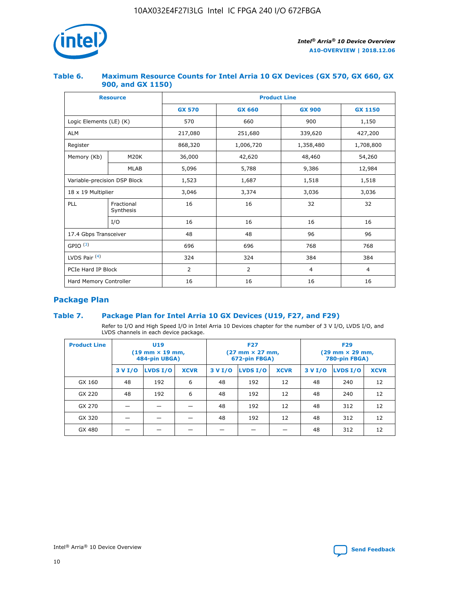

## **Table 6. Maximum Resource Counts for Intel Arria 10 GX Devices (GX 570, GX 660, GX 900, and GX 1150)**

|                              | <b>Resource</b>         | <b>Product Line</b> |                |                |                |  |  |  |
|------------------------------|-------------------------|---------------------|----------------|----------------|----------------|--|--|--|
|                              |                         | <b>GX 570</b>       | <b>GX 660</b>  | <b>GX 900</b>  | <b>GX 1150</b> |  |  |  |
| Logic Elements (LE) (K)      |                         | 570                 | 660            | 900            | 1,150          |  |  |  |
| <b>ALM</b>                   |                         | 217,080             | 251,680        | 339,620        | 427,200        |  |  |  |
| Register                     |                         | 868,320             | 1,006,720      |                | 1,708,800      |  |  |  |
| Memory (Kb)                  | <b>M20K</b>             | 36,000              | 42,620         | 48,460         | 54,260         |  |  |  |
|                              | <b>MLAB</b>             | 5,096               | 5,788          | 9,386          | 12,984         |  |  |  |
| Variable-precision DSP Block |                         | 1,523               | 1,687          | 1,518          | 1,518          |  |  |  |
| $18 \times 19$ Multiplier    |                         | 3,046               | 3,374          | 3,036          | 3,036          |  |  |  |
| PLL                          | Fractional<br>Synthesis | 16                  | 16             | 32             | 32             |  |  |  |
|                              | I/O                     | 16                  | 16             | 16             | 16             |  |  |  |
| 17.4 Gbps Transceiver        |                         | 48                  | 48             | 96             | 96             |  |  |  |
| GPIO <sup>(3)</sup>          |                         | 696                 | 696            | 768            | 768            |  |  |  |
| LVDS Pair $(4)$              |                         | 324                 | 324            | 384            | 384            |  |  |  |
| PCIe Hard IP Block           |                         | 2                   | $\overline{2}$ | $\overline{4}$ | 4              |  |  |  |
| Hard Memory Controller       |                         | 16                  | 16             | 16             | 16             |  |  |  |

## **Package Plan**

## **Table 7. Package Plan for Intel Arria 10 GX Devices (U19, F27, and F29)**

Refer to I/O and High Speed I/O in Intel Arria 10 Devices chapter for the number of 3 V I/O, LVDS I/O, and LVDS channels in each device package.

| <b>Product Line</b> | U <sub>19</sub><br>$(19 \text{ mm} \times 19 \text{ mm})$<br>484-pin UBGA) |          |             | <b>F27</b><br>(27 mm × 27 mm,<br>672-pin FBGA) |          |             | <b>F29</b><br>(29 mm × 29 mm,<br>780-pin FBGA) |          |             |
|---------------------|----------------------------------------------------------------------------|----------|-------------|------------------------------------------------|----------|-------------|------------------------------------------------|----------|-------------|
|                     | 3 V I/O                                                                    | LVDS I/O | <b>XCVR</b> | 3 V I/O                                        | LVDS I/O | <b>XCVR</b> | 3 V I/O                                        | LVDS I/O | <b>XCVR</b> |
| GX 160              | 48                                                                         | 192      | 6           | 48                                             | 192      | 12          | 48                                             | 240      | 12          |
| GX 220              | 48                                                                         | 192      | 6           | 48                                             | 192      | 12          | 48                                             | 240      | 12          |
| GX 270              |                                                                            |          |             | 48                                             | 192      | 12          | 48                                             | 312      | 12          |
| GX 320              |                                                                            |          |             | 48                                             | 192      | 12          | 48                                             | 312      | 12          |
| GX 480              |                                                                            |          |             |                                                |          |             | 48                                             | 312      | 12          |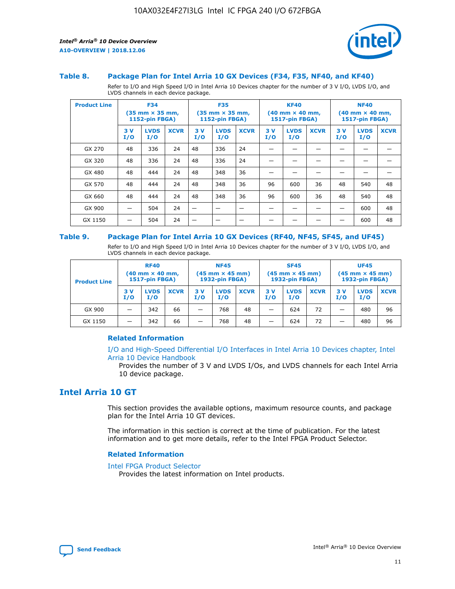

#### **Table 8. Package Plan for Intel Arria 10 GX Devices (F34, F35, NF40, and KF40)**

Refer to I/O and High Speed I/O in Intel Arria 10 Devices chapter for the number of 3 V I/O, LVDS I/O, and LVDS channels in each device package.

| <b>Product Line</b> | <b>F34</b><br>$(35 \text{ mm} \times 35 \text{ mm})$<br>1152-pin FBGA) |                    | <b>F35</b><br>$(35 \text{ mm} \times 35 \text{ mm})$<br><b>1152-pin FBGA)</b> |           | <b>KF40</b><br>$(40$ mm $\times$ 40 mm,<br>1517-pin FBGA) |             |           | <b>NF40</b><br>$(40$ mm $\times$ 40 mm,<br><b>1517-pin FBGA)</b> |             |            |                    |             |
|---------------------|------------------------------------------------------------------------|--------------------|-------------------------------------------------------------------------------|-----------|-----------------------------------------------------------|-------------|-----------|------------------------------------------------------------------|-------------|------------|--------------------|-------------|
|                     | 3V<br>I/O                                                              | <b>LVDS</b><br>I/O | <b>XCVR</b>                                                                   | 3V<br>I/O | <b>LVDS</b><br>I/O                                        | <b>XCVR</b> | 3V<br>I/O | <b>LVDS</b><br>I/O                                               | <b>XCVR</b> | 3 V<br>I/O | <b>LVDS</b><br>I/O | <b>XCVR</b> |
| GX 270              | 48                                                                     | 336                | 24                                                                            | 48        | 336                                                       | 24          |           |                                                                  |             |            |                    |             |
| GX 320              | 48                                                                     | 336                | 24                                                                            | 48        | 336                                                       | 24          |           |                                                                  |             |            |                    |             |
| GX 480              | 48                                                                     | 444                | 24                                                                            | 48        | 348                                                       | 36          |           |                                                                  |             |            |                    |             |
| GX 570              | 48                                                                     | 444                | 24                                                                            | 48        | 348                                                       | 36          | 96        | 600                                                              | 36          | 48         | 540                | 48          |
| GX 660              | 48                                                                     | 444                | 24                                                                            | 48        | 348                                                       | 36          | 96        | 600                                                              | 36          | 48         | 540                | 48          |
| GX 900              |                                                                        | 504                | 24                                                                            | -         |                                                           |             |           |                                                                  |             |            | 600                | 48          |
| GX 1150             |                                                                        | 504                | 24                                                                            |           |                                                           |             |           |                                                                  |             |            | 600                | 48          |

#### **Table 9. Package Plan for Intel Arria 10 GX Devices (RF40, NF45, SF45, and UF45)**

Refer to I/O and High Speed I/O in Intel Arria 10 Devices chapter for the number of 3 V I/O, LVDS I/O, and LVDS channels in each device package.

| <b>Product Line</b> | <b>RF40</b><br>$(40$ mm $\times$ 40 mm,<br>1517-pin FBGA) |                    | <b>NF45</b><br>$(45 \text{ mm} \times 45 \text{ mm})$<br><b>1932-pin FBGA)</b> |            |                    | <b>SF45</b><br>$(45 \text{ mm} \times 45 \text{ mm})$<br><b>1932-pin FBGA)</b> |            |                    | <b>UF45</b><br>$(45 \text{ mm} \times 45 \text{ mm})$<br><b>1932-pin FBGA)</b> |           |                    |             |
|---------------------|-----------------------------------------------------------|--------------------|--------------------------------------------------------------------------------|------------|--------------------|--------------------------------------------------------------------------------|------------|--------------------|--------------------------------------------------------------------------------|-----------|--------------------|-------------|
|                     | 3V<br>I/O                                                 | <b>LVDS</b><br>I/O | <b>XCVR</b>                                                                    | 3 V<br>I/O | <b>LVDS</b><br>I/O | <b>XCVR</b>                                                                    | 3 V<br>I/O | <b>LVDS</b><br>I/O | <b>XCVR</b>                                                                    | 3V<br>I/O | <b>LVDS</b><br>I/O | <b>XCVR</b> |
| GX 900              |                                                           | 342                | 66                                                                             | _          | 768                | 48                                                                             |            | 624                | 72                                                                             |           | 480                | 96          |
| GX 1150             |                                                           | 342                | 66                                                                             | _          | 768                | 48                                                                             |            | 624                | 72                                                                             |           | 480                | 96          |

## **Related Information**

[I/O and High-Speed Differential I/O Interfaces in Intel Arria 10 Devices chapter, Intel](https://www.intel.com/content/www/us/en/programmable/documentation/sam1403482614086.html#sam1403482030321) [Arria 10 Device Handbook](https://www.intel.com/content/www/us/en/programmable/documentation/sam1403482614086.html#sam1403482030321)

Provides the number of 3 V and LVDS I/Os, and LVDS channels for each Intel Arria 10 device package.

## **Intel Arria 10 GT**

This section provides the available options, maximum resource counts, and package plan for the Intel Arria 10 GT devices.

The information in this section is correct at the time of publication. For the latest information and to get more details, refer to the Intel FPGA Product Selector.

#### **Related Information**

#### [Intel FPGA Product Selector](http://www.altera.com/products/selector/psg-selector.html)

Provides the latest information on Intel products.

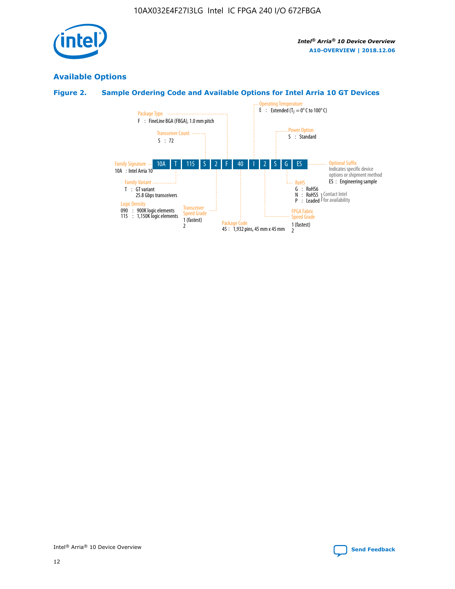

## **Available Options**

## **Figure 2. Sample Ordering Code and Available Options for Intel Arria 10 GT Devices**

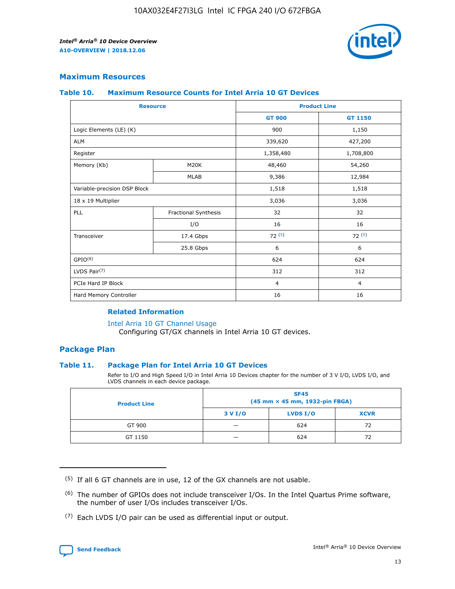

## **Maximum Resources**

#### **Table 10. Maximum Resource Counts for Intel Arria 10 GT Devices**

| <b>Resource</b>              |                      | <b>Product Line</b> |                |  |
|------------------------------|----------------------|---------------------|----------------|--|
|                              |                      | <b>GT 900</b>       | <b>GT 1150</b> |  |
| Logic Elements (LE) (K)      |                      | 900                 | 1,150          |  |
| <b>ALM</b>                   |                      | 339,620             | 427,200        |  |
| Register                     |                      | 1,358,480           | 1,708,800      |  |
| Memory (Kb)                  | M20K                 | 48,460              | 54,260         |  |
|                              | <b>MLAB</b>          | 9,386               | 12,984         |  |
| Variable-precision DSP Block |                      | 1,518               | 1,518          |  |
| 18 x 19 Multiplier           |                      | 3,036               | 3,036          |  |
| PLL                          | Fractional Synthesis | 32                  | 32             |  |
|                              | I/O                  | 16                  | 16             |  |
| Transceiver                  | 17.4 Gbps            | 72(5)               | 72(5)          |  |
|                              | 25.8 Gbps            | 6                   | 6              |  |
| GPIO <sup>(6)</sup>          |                      | 624                 | 624            |  |
| LVDS Pair $(7)$              |                      | 312                 | 312            |  |
| PCIe Hard IP Block           |                      | $\overline{4}$      | $\overline{4}$ |  |
| Hard Memory Controller       |                      | 16                  | 16             |  |

## **Related Information**

#### [Intel Arria 10 GT Channel Usage](https://www.intel.com/content/www/us/en/programmable/documentation/nik1398707230472.html#nik1398707008178)

Configuring GT/GX channels in Intel Arria 10 GT devices.

## **Package Plan**

## **Table 11. Package Plan for Intel Arria 10 GT Devices**

Refer to I/O and High Speed I/O in Intel Arria 10 Devices chapter for the number of 3 V I/O, LVDS I/O, and LVDS channels in each device package.

| <b>Product Line</b> | <b>SF45</b><br>(45 mm × 45 mm, 1932-pin FBGA) |                 |             |  |  |  |
|---------------------|-----------------------------------------------|-----------------|-------------|--|--|--|
|                     | 3 V I/O                                       | <b>LVDS I/O</b> | <b>XCVR</b> |  |  |  |
| GT 900              |                                               | 624             | 72          |  |  |  |
| GT 1150             |                                               | 624             | 72          |  |  |  |

<sup>(7)</sup> Each LVDS I/O pair can be used as differential input or output.



 $(5)$  If all 6 GT channels are in use, 12 of the GX channels are not usable.

<sup>(6)</sup> The number of GPIOs does not include transceiver I/Os. In the Intel Quartus Prime software, the number of user I/Os includes transceiver I/Os.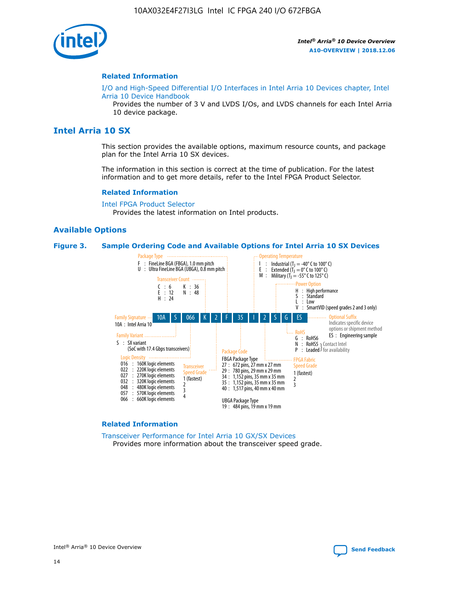

#### **Related Information**

[I/O and High-Speed Differential I/O Interfaces in Intel Arria 10 Devices chapter, Intel](https://www.intel.com/content/www/us/en/programmable/documentation/sam1403482614086.html#sam1403482030321) [Arria 10 Device Handbook](https://www.intel.com/content/www/us/en/programmable/documentation/sam1403482614086.html#sam1403482030321)

Provides the number of 3 V and LVDS I/Os, and LVDS channels for each Intel Arria 10 device package.

## **Intel Arria 10 SX**

This section provides the available options, maximum resource counts, and package plan for the Intel Arria 10 SX devices.

The information in this section is correct at the time of publication. For the latest information and to get more details, refer to the Intel FPGA Product Selector.

#### **Related Information**

[Intel FPGA Product Selector](http://www.altera.com/products/selector/psg-selector.html) Provides the latest information on Intel products.

## **Available Options**

#### **Figure 3. Sample Ordering Code and Available Options for Intel Arria 10 SX Devices**



#### **Related Information**

[Transceiver Performance for Intel Arria 10 GX/SX Devices](https://www.intel.com/content/www/us/en/programmable/documentation/mcn1413182292568.html#mcn1413213965502) Provides more information about the transceiver speed grade.

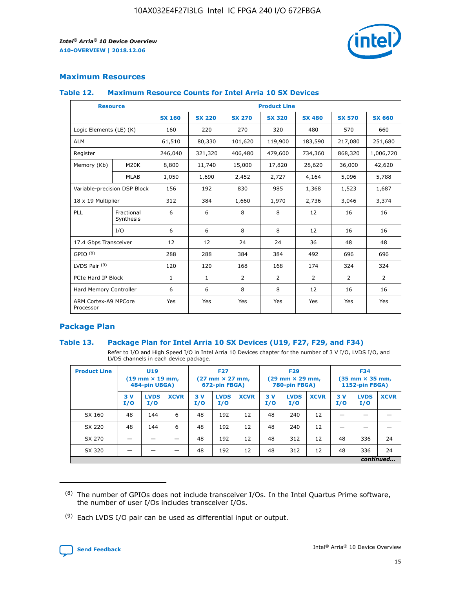

## **Maximum Resources**

#### **Table 12. Maximum Resource Counts for Intel Arria 10 SX Devices**

| <b>Resource</b>                   |                         | <b>Product Line</b> |               |                |                |                |                |                |  |  |  |
|-----------------------------------|-------------------------|---------------------|---------------|----------------|----------------|----------------|----------------|----------------|--|--|--|
|                                   |                         | <b>SX 160</b>       | <b>SX 220</b> | <b>SX 270</b>  | <b>SX 320</b>  | <b>SX 480</b>  | <b>SX 570</b>  | <b>SX 660</b>  |  |  |  |
| Logic Elements (LE) (K)           |                         | 160                 | 220           | 270            | 320            | 480            | 570            | 660            |  |  |  |
| <b>ALM</b>                        |                         | 61,510              | 80,330        | 101,620        | 119,900        | 183,590        | 217,080        | 251,680        |  |  |  |
| Register                          |                         | 246,040             | 321,320       | 406,480        | 479,600        | 734,360        | 868,320        | 1,006,720      |  |  |  |
| Memory (Kb)                       | <b>M20K</b>             | 8,800               | 11,740        | 15,000         | 17,820         | 28,620         | 36,000         | 42,620         |  |  |  |
|                                   | <b>MLAB</b>             | 1,050               | 1,690         | 2,452          | 2,727          | 4,164          | 5,096          | 5,788          |  |  |  |
| Variable-precision DSP Block      |                         | 156                 | 192           | 830            | 985            | 1,368          | 1,523          | 1,687          |  |  |  |
| 18 x 19 Multiplier                |                         | 312                 | 384           | 1,660          | 1,970          | 2,736          | 3,046          | 3,374          |  |  |  |
| PLL                               | Fractional<br>Synthesis | 6                   | 6             | 8              | 8              | 12             | 16             | 16             |  |  |  |
|                                   | I/O                     | 6                   | 6             | 8              | 8              | 12             | 16             | 16             |  |  |  |
| 17.4 Gbps Transceiver             |                         | 12                  | 12            | 24             | 24             | 36             | 48             | 48             |  |  |  |
| GPIO <sup>(8)</sup>               |                         | 288                 | 288           | 384            | 384            | 492            | 696            | 696            |  |  |  |
| LVDS Pair $(9)$                   |                         | 120                 | 120           | 168            | 168            | 174            | 324            | 324            |  |  |  |
| PCIe Hard IP Block                |                         | $\mathbf{1}$        | $\mathbf{1}$  | $\overline{2}$ | $\overline{2}$ | $\overline{2}$ | $\overline{2}$ | $\overline{2}$ |  |  |  |
| Hard Memory Controller            |                         | 6                   | 6             | 8              | 8              | 12             | 16             | 16             |  |  |  |
| ARM Cortex-A9 MPCore<br>Processor |                         | Yes                 | Yes           | Yes            | Yes            | Yes            | Yes            | <b>Yes</b>     |  |  |  |

## **Package Plan**

## **Table 13. Package Plan for Intel Arria 10 SX Devices (U19, F27, F29, and F34)**

Refer to I/O and High Speed I/O in Intel Arria 10 Devices chapter for the number of 3 V I/O, LVDS I/O, and LVDS channels in each device package.

| <b>Product Line</b> | U <sub>19</sub><br>$(19 \text{ mm} \times 19 \text{ mm})$<br>484-pin UBGA) |                    |             | <b>F27</b><br>$(27 \text{ mm} \times 27 \text{ mm})$<br>672-pin FBGA) |                    | <b>F29</b><br>$(29 \text{ mm} \times 29 \text{ mm})$<br>780-pin FBGA) |           |                    | <b>F34</b><br>$(35 \text{ mm} \times 35 \text{ mm})$<br><b>1152-pin FBGA)</b> |           |                    |             |
|---------------------|----------------------------------------------------------------------------|--------------------|-------------|-----------------------------------------------------------------------|--------------------|-----------------------------------------------------------------------|-----------|--------------------|-------------------------------------------------------------------------------|-----------|--------------------|-------------|
|                     | 3V<br>I/O                                                                  | <b>LVDS</b><br>I/O | <b>XCVR</b> | 3V<br>I/O                                                             | <b>LVDS</b><br>I/O | <b>XCVR</b>                                                           | 3V<br>I/O | <b>LVDS</b><br>I/O | <b>XCVR</b>                                                                   | 3V<br>I/O | <b>LVDS</b><br>I/O | <b>XCVR</b> |
| SX 160              | 48                                                                         | 144                | 6           | 48                                                                    | 192                | 12                                                                    | 48        | 240                | 12                                                                            |           |                    |             |
| SX 220              | 48                                                                         | 144                | 6           | 48                                                                    | 192                | 12                                                                    | 48        | 240                | 12                                                                            |           |                    |             |
| SX 270              |                                                                            |                    |             | 48                                                                    | 192                | 12                                                                    | 48        | 312                | 12                                                                            | 48        | 336                | 24          |
| SX 320              |                                                                            |                    |             | 48                                                                    | 192                | 12                                                                    | 48        | 312                | 12                                                                            | 48        | 336                | 24          |
|                     | continued                                                                  |                    |             |                                                                       |                    |                                                                       |           |                    |                                                                               |           |                    |             |

 $(8)$  The number of GPIOs does not include transceiver I/Os. In the Intel Quartus Prime software, the number of user I/Os includes transceiver I/Os.

 $(9)$  Each LVDS I/O pair can be used as differential input or output.

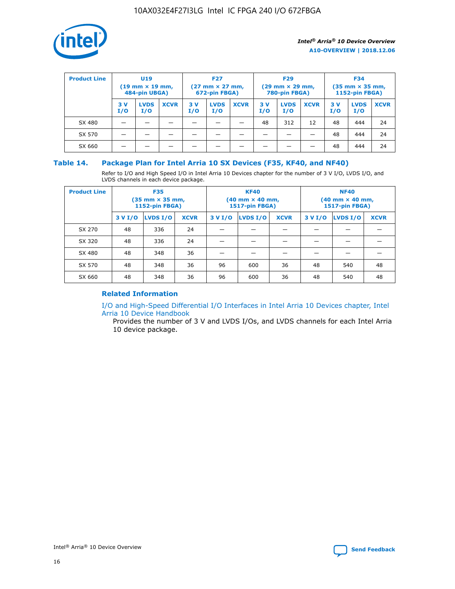

| <b>Product Line</b> | U <sub>19</sub><br>$(19 \text{ mm} \times 19 \text{ mm})$<br>484-pin UBGA) |                    | <b>F27</b><br>$(27 \text{ mm} \times 27 \text{ mm})$<br>672-pin FBGA) |           |                    | <b>F29</b><br>$(29 \text{ mm} \times 29 \text{ mm})$<br>780-pin FBGA) |           |                    | <b>F34</b><br>$(35$ mm $\times$ 35 mm,<br><b>1152-pin FBGA)</b> |           |                    |             |
|---------------------|----------------------------------------------------------------------------|--------------------|-----------------------------------------------------------------------|-----------|--------------------|-----------------------------------------------------------------------|-----------|--------------------|-----------------------------------------------------------------|-----------|--------------------|-------------|
|                     | 3V<br>I/O                                                                  | <b>LVDS</b><br>I/O | <b>XCVR</b>                                                           | 3V<br>I/O | <b>LVDS</b><br>I/O | <b>XCVR</b>                                                           | 3V<br>I/O | <b>LVDS</b><br>I/O | <b>XCVR</b>                                                     | 3V<br>I/O | <b>LVDS</b><br>I/O | <b>XCVR</b> |
| SX 480              |                                                                            |                    |                                                                       |           |                    |                                                                       | 48        | 312                | 12                                                              | 48        | 444                | 24          |
| SX 570              |                                                                            |                    |                                                                       |           |                    |                                                                       |           |                    |                                                                 | 48        | 444                | 24          |
| SX 660              |                                                                            |                    |                                                                       |           |                    |                                                                       |           |                    |                                                                 | 48        | 444                | 24          |

## **Table 14. Package Plan for Intel Arria 10 SX Devices (F35, KF40, and NF40)**

Refer to I/O and High Speed I/O in Intel Arria 10 Devices chapter for the number of 3 V I/O, LVDS I/O, and LVDS channels in each device package.

| <b>Product Line</b> | <b>F35</b><br>$(35 \text{ mm} \times 35 \text{ mm})$<br><b>1152-pin FBGA)</b> |          |             |                                           | <b>KF40</b><br>(40 mm × 40 mm,<br>1517-pin FBGA) |    | <b>NF40</b><br>$(40 \text{ mm} \times 40 \text{ mm})$<br>1517-pin FBGA) |          |             |  |
|---------------------|-------------------------------------------------------------------------------|----------|-------------|-------------------------------------------|--------------------------------------------------|----|-------------------------------------------------------------------------|----------|-------------|--|
|                     | 3 V I/O                                                                       | LVDS I/O | <b>XCVR</b> | <b>LVDS I/O</b><br><b>XCVR</b><br>3 V I/O |                                                  |    | 3 V I/O                                                                 | LVDS I/O | <b>XCVR</b> |  |
| SX 270              | 48                                                                            | 336      | 24          |                                           |                                                  |    |                                                                         |          |             |  |
| SX 320              | 48                                                                            | 336      | 24          |                                           |                                                  |    |                                                                         |          |             |  |
| SX 480              | 48                                                                            | 348      | 36          |                                           |                                                  |    |                                                                         |          |             |  |
| SX 570              | 48                                                                            | 348      | 36          | 96<br>36<br>600                           |                                                  |    | 48                                                                      | 540      | 48          |  |
| SX 660              | 48                                                                            | 348      | 36          | 96                                        | 600                                              | 36 | 48                                                                      | 540      | 48          |  |

## **Related Information**

[I/O and High-Speed Differential I/O Interfaces in Intel Arria 10 Devices chapter, Intel](https://www.intel.com/content/www/us/en/programmable/documentation/sam1403482614086.html#sam1403482030321) [Arria 10 Device Handbook](https://www.intel.com/content/www/us/en/programmable/documentation/sam1403482614086.html#sam1403482030321)

Provides the number of 3 V and LVDS I/Os, and LVDS channels for each Intel Arria 10 device package.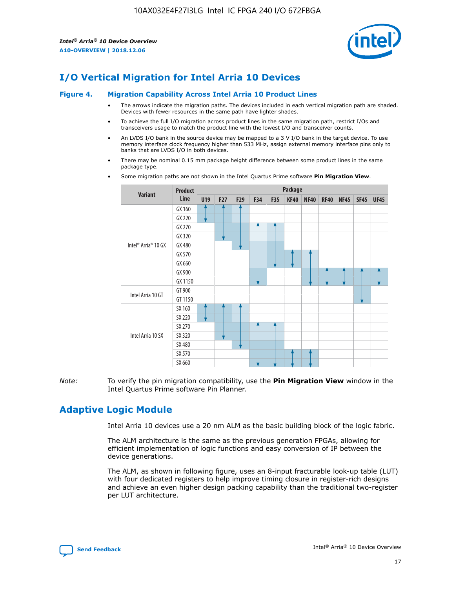

# **I/O Vertical Migration for Intel Arria 10 Devices**

#### **Figure 4. Migration Capability Across Intel Arria 10 Product Lines**

- The arrows indicate the migration paths. The devices included in each vertical migration path are shaded. Devices with fewer resources in the same path have lighter shades.
- To achieve the full I/O migration across product lines in the same migration path, restrict I/Os and transceivers usage to match the product line with the lowest I/O and transceiver counts.
- An LVDS I/O bank in the source device may be mapped to a 3 V I/O bank in the target device. To use memory interface clock frequency higher than 533 MHz, assign external memory interface pins only to banks that are LVDS I/O in both devices.
- There may be nominal 0.15 mm package height difference between some product lines in the same package type.
	- **Variant Product Line Package U19 F27 F29 F34 F35 KF40 NF40 RF40 NF45 SF45 UF45** Intel® Arria® 10 GX GX 160 GX 220 GX 270 GX 320 GX 480 GX 570 GX 660 GX 900 GX 1150 Intel Arria 10 GT GT 900 GT 1150 Intel Arria 10 SX SX 160 SX 220 SX 270 SX 320 SX 480 SX 570 SX 660
- Some migration paths are not shown in the Intel Quartus Prime software **Pin Migration View**.

*Note:* To verify the pin migration compatibility, use the **Pin Migration View** window in the Intel Quartus Prime software Pin Planner.

## **Adaptive Logic Module**

Intel Arria 10 devices use a 20 nm ALM as the basic building block of the logic fabric.

The ALM architecture is the same as the previous generation FPGAs, allowing for efficient implementation of logic functions and easy conversion of IP between the device generations.

The ALM, as shown in following figure, uses an 8-input fracturable look-up table (LUT) with four dedicated registers to help improve timing closure in register-rich designs and achieve an even higher design packing capability than the traditional two-register per LUT architecture.

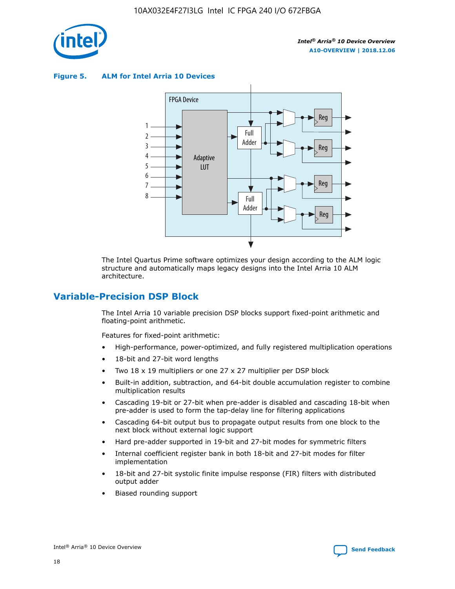

**Figure 5. ALM for Intel Arria 10 Devices**



The Intel Quartus Prime software optimizes your design according to the ALM logic structure and automatically maps legacy designs into the Intel Arria 10 ALM architecture.

## **Variable-Precision DSP Block**

The Intel Arria 10 variable precision DSP blocks support fixed-point arithmetic and floating-point arithmetic.

Features for fixed-point arithmetic:

- High-performance, power-optimized, and fully registered multiplication operations
- 18-bit and 27-bit word lengths
- Two 18 x 19 multipliers or one 27 x 27 multiplier per DSP block
- Built-in addition, subtraction, and 64-bit double accumulation register to combine multiplication results
- Cascading 19-bit or 27-bit when pre-adder is disabled and cascading 18-bit when pre-adder is used to form the tap-delay line for filtering applications
- Cascading 64-bit output bus to propagate output results from one block to the next block without external logic support
- Hard pre-adder supported in 19-bit and 27-bit modes for symmetric filters
- Internal coefficient register bank in both 18-bit and 27-bit modes for filter implementation
- 18-bit and 27-bit systolic finite impulse response (FIR) filters with distributed output adder
- Biased rounding support

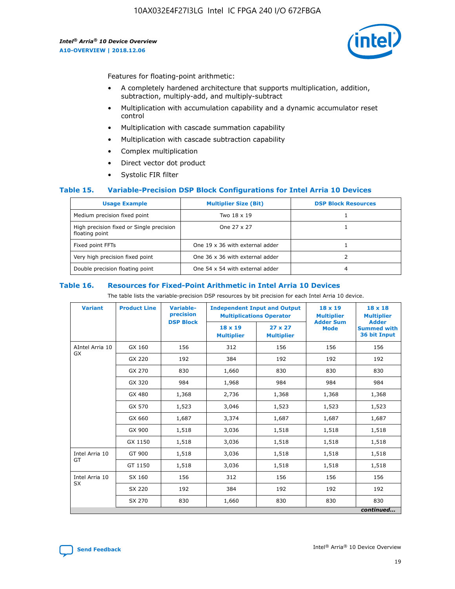

Features for floating-point arithmetic:

- A completely hardened architecture that supports multiplication, addition, subtraction, multiply-add, and multiply-subtract
- Multiplication with accumulation capability and a dynamic accumulator reset control
- Multiplication with cascade summation capability
- Multiplication with cascade subtraction capability
- Complex multiplication
- Direct vector dot product
- Systolic FIR filter

## **Table 15. Variable-Precision DSP Block Configurations for Intel Arria 10 Devices**

| <b>Usage Example</b>                                       | <b>Multiplier Size (Bit)</b>    | <b>DSP Block Resources</b> |
|------------------------------------------------------------|---------------------------------|----------------------------|
| Medium precision fixed point                               | Two 18 x 19                     |                            |
| High precision fixed or Single precision<br>floating point | One 27 x 27                     |                            |
| Fixed point FFTs                                           | One 19 x 36 with external adder |                            |
| Very high precision fixed point                            | One 36 x 36 with external adder |                            |
| Double precision floating point                            | One 54 x 54 with external adder | 4                          |

#### **Table 16. Resources for Fixed-Point Arithmetic in Intel Arria 10 Devices**

The table lists the variable-precision DSP resources by bit precision for each Intel Arria 10 device.

| <b>Variant</b>               | <b>Product Line</b> | <b>Variable-</b><br>precision | <b>Independent Input and Output</b><br><b>Multiplications Operator</b> |                                     | 18 x 19<br><b>Multiplier</b>    | $18 \times 18$<br><b>Multiplier</b>                |
|------------------------------|---------------------|-------------------------------|------------------------------------------------------------------------|-------------------------------------|---------------------------------|----------------------------------------------------|
|                              |                     | <b>DSP Block</b>              | 18 x 19<br><b>Multiplier</b>                                           | $27 \times 27$<br><b>Multiplier</b> | <b>Adder Sum</b><br><b>Mode</b> | <b>Adder</b><br><b>Summed with</b><br>36 bit Input |
| AIntel Arria 10<br><b>GX</b> | GX 160              | 156                           | 312                                                                    | 156                                 | 156                             | 156                                                |
|                              | GX 220              | 192                           | 384                                                                    | 192                                 | 192                             | 192                                                |
|                              | GX 270              | 830                           | 1,660                                                                  | 830                                 | 830                             | 830                                                |
|                              | GX 320              | 984                           | 1,968                                                                  | 984                                 | 984                             | 984                                                |
|                              | GX 480              | 1,368                         | 2,736                                                                  | 1,368                               | 1,368                           | 1,368                                              |
|                              | GX 570              | 1,523                         | 3,046                                                                  | 1,523                               | 1,523                           | 1,523                                              |
|                              | GX 660              | 1,687                         | 3,374                                                                  | 1,687                               | 1,687                           | 1,687                                              |
|                              | GX 900              | 1,518                         | 3,036                                                                  | 1,518                               | 1,518                           | 1,518                                              |
|                              | GX 1150             | 1,518                         | 3,036                                                                  | 1,518                               | 1,518                           | 1,518                                              |
| Intel Arria 10               | GT 900              | 1,518                         | 3,036                                                                  | 1,518                               | 1,518                           | 1,518                                              |
| GT                           | GT 1150             | 1,518                         | 3,036                                                                  | 1,518                               | 1,518                           | 1,518                                              |
| Intel Arria 10               | SX 160              | 156                           | 312                                                                    | 156                                 | 156                             | 156                                                |
| <b>SX</b>                    | SX 220              | 192                           | 384                                                                    | 192                                 | 192                             | 192                                                |
|                              | SX 270              | 830                           | 1,660                                                                  | 830                                 | 830                             | 830                                                |
|                              |                     |                               |                                                                        |                                     |                                 | continued                                          |

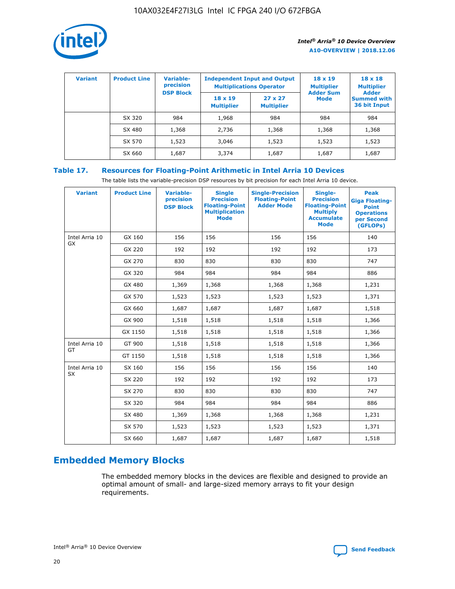

| <b>Variant</b> | <b>Product Line</b> | Variable-<br>precision | <b>Independent Input and Output</b><br><b>Multiplications Operator</b> |                                     | $18 \times 19$<br><b>Multiplier</b> | $18 \times 18$<br><b>Multiplier</b><br><b>Adder</b> |  |
|----------------|---------------------|------------------------|------------------------------------------------------------------------|-------------------------------------|-------------------------------------|-----------------------------------------------------|--|
|                |                     | <b>DSP Block</b>       | $18 \times 19$<br><b>Multiplier</b>                                    | $27 \times 27$<br><b>Multiplier</b> | <b>Adder Sum</b><br><b>Mode</b>     | <b>Summed with</b><br>36 bit Input                  |  |
|                | SX 320              | 984                    | 1,968                                                                  | 984                                 | 984                                 | 984                                                 |  |
|                | SX 480              | 1,368                  | 2,736                                                                  | 1,368                               | 1,368                               | 1,368                                               |  |
|                | SX 570              | 1,523                  | 3,046                                                                  | 1,523                               | 1,523                               | 1,523                                               |  |
|                | SX 660              | 1,687                  | 3,374                                                                  | 1,687                               | 1,687                               | 1,687                                               |  |

## **Table 17. Resources for Floating-Point Arithmetic in Intel Arria 10 Devices**

The table lists the variable-precision DSP resources by bit precision for each Intel Arria 10 device.

| <b>Variant</b> | <b>Product Line</b> | <b>Variable-</b><br>precision<br><b>DSP Block</b> | <b>Single</b><br><b>Precision</b><br><b>Floating-Point</b><br><b>Multiplication</b><br><b>Mode</b> | <b>Single-Precision</b><br><b>Floating-Point</b><br><b>Adder Mode</b> | Single-<br><b>Precision</b><br><b>Floating-Point</b><br><b>Multiply</b><br><b>Accumulate</b><br><b>Mode</b> | <b>Peak</b><br><b>Giga Floating-</b><br><b>Point</b><br><b>Operations</b><br>per Second<br>(GFLOPs) |
|----------------|---------------------|---------------------------------------------------|----------------------------------------------------------------------------------------------------|-----------------------------------------------------------------------|-------------------------------------------------------------------------------------------------------------|-----------------------------------------------------------------------------------------------------|
| Intel Arria 10 | GX 160              | 156                                               | 156                                                                                                | 156                                                                   | 156                                                                                                         | 140                                                                                                 |
| GX             | GX 220              | 192                                               | 192                                                                                                | 192                                                                   | 192                                                                                                         | 173                                                                                                 |
|                | GX 270              | 830                                               | 830                                                                                                | 830                                                                   | 830                                                                                                         | 747                                                                                                 |
|                | GX 320              | 984                                               | 984                                                                                                | 984                                                                   | 984                                                                                                         | 886                                                                                                 |
|                | GX 480              | 1,369                                             | 1,368                                                                                              | 1,368                                                                 | 1,368                                                                                                       | 1,231                                                                                               |
|                | GX 570              | 1,523                                             | 1,523                                                                                              | 1,523                                                                 | 1,523                                                                                                       | 1,371                                                                                               |
|                | GX 660              | 1,687                                             | 1,687                                                                                              | 1,687                                                                 | 1,687                                                                                                       | 1,518                                                                                               |
|                | GX 900              | 1,518                                             | 1,518                                                                                              | 1,518                                                                 | 1,518                                                                                                       | 1,366                                                                                               |
|                | GX 1150             | 1,518                                             | 1,518                                                                                              | 1,518                                                                 | 1,518                                                                                                       | 1,366                                                                                               |
| Intel Arria 10 | GT 900              | 1,518                                             | 1,518                                                                                              | 1,518                                                                 | 1,518                                                                                                       | 1,366                                                                                               |
| GT             | GT 1150             | 1,518                                             | 1,518                                                                                              | 1,518                                                                 | 1,518                                                                                                       | 1,366                                                                                               |
| Intel Arria 10 | SX 160              | 156                                               | 156                                                                                                | 156                                                                   | 156                                                                                                         | 140                                                                                                 |
| <b>SX</b>      | SX 220              | 192                                               | 192                                                                                                | 192                                                                   | 192                                                                                                         | 173                                                                                                 |
|                | SX 270              | 830                                               | 830                                                                                                | 830                                                                   | 830                                                                                                         | 747                                                                                                 |
|                | SX 320              | 984                                               | 984                                                                                                | 984                                                                   | 984                                                                                                         | 886                                                                                                 |
|                | SX 480              | 1,369                                             | 1,368                                                                                              | 1,368                                                                 | 1,368                                                                                                       | 1,231                                                                                               |
|                | SX 570              | 1,523                                             | 1,523                                                                                              | 1,523                                                                 | 1,523                                                                                                       | 1,371                                                                                               |
|                | SX 660              | 1,687                                             | 1,687                                                                                              | 1,687                                                                 | 1,687                                                                                                       | 1,518                                                                                               |

# **Embedded Memory Blocks**

The embedded memory blocks in the devices are flexible and designed to provide an optimal amount of small- and large-sized memory arrays to fit your design requirements.

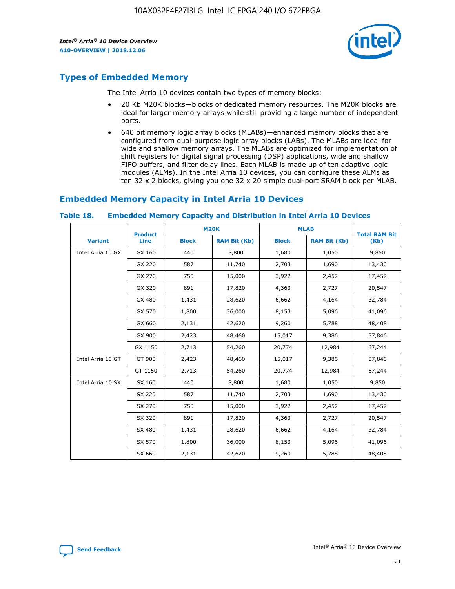

## **Types of Embedded Memory**

The Intel Arria 10 devices contain two types of memory blocks:

- 20 Kb M20K blocks—blocks of dedicated memory resources. The M20K blocks are ideal for larger memory arrays while still providing a large number of independent ports.
- 640 bit memory logic array blocks (MLABs)—enhanced memory blocks that are configured from dual-purpose logic array blocks (LABs). The MLABs are ideal for wide and shallow memory arrays. The MLABs are optimized for implementation of shift registers for digital signal processing (DSP) applications, wide and shallow FIFO buffers, and filter delay lines. Each MLAB is made up of ten adaptive logic modules (ALMs). In the Intel Arria 10 devices, you can configure these ALMs as ten 32 x 2 blocks, giving you one 32 x 20 simple dual-port SRAM block per MLAB.

## **Embedded Memory Capacity in Intel Arria 10 Devices**

|                   | <b>Product</b> |              | <b>M20K</b>         | <b>MLAB</b>  |                     | <b>Total RAM Bit</b> |
|-------------------|----------------|--------------|---------------------|--------------|---------------------|----------------------|
| <b>Variant</b>    | <b>Line</b>    | <b>Block</b> | <b>RAM Bit (Kb)</b> | <b>Block</b> | <b>RAM Bit (Kb)</b> | (Kb)                 |
| Intel Arria 10 GX | GX 160         | 440          | 8,800               | 1,680        | 1,050               | 9,850                |
|                   | GX 220         | 587          | 11,740              | 2,703        | 1,690               | 13,430               |
|                   | GX 270         | 750          | 15,000              | 3,922        | 2,452               | 17,452               |
|                   | GX 320         | 891          | 17,820              | 4,363        | 2,727               | 20,547               |
|                   | GX 480         | 1,431        | 28,620              | 6,662        | 4,164               | 32,784               |
|                   | GX 570         | 1,800        | 36,000              | 8,153        | 5,096               | 41,096               |
|                   | GX 660         | 2,131        | 42,620              | 9,260        | 5,788               | 48,408               |
|                   | GX 900         | 2,423        | 48,460              | 15,017       | 9,386               | 57,846               |
|                   | GX 1150        | 2,713        | 54,260              | 20,774       | 12,984              | 67,244               |
| Intel Arria 10 GT | GT 900         | 2,423        | 48,460              | 15,017       | 9,386               | 57,846               |
|                   | GT 1150        | 2,713        | 54,260              | 20,774       | 12,984              | 67,244               |
| Intel Arria 10 SX | SX 160         | 440          | 8,800               | 1,680        | 1,050               | 9,850                |
|                   | SX 220         | 587          | 11,740              | 2,703        | 1,690               | 13,430               |
|                   | SX 270         | 750          | 15,000              | 3,922        | 2,452               | 17,452               |
|                   | SX 320         | 891          | 17,820              | 4,363        | 2,727               | 20,547               |
|                   | SX 480         | 1,431        | 28,620              | 6,662        | 4,164               | 32,784               |
|                   | SX 570         | 1,800        | 36,000              | 8,153        | 5,096               | 41,096               |
|                   | SX 660         | 2,131        | 42,620              | 9,260        | 5,788               | 48,408               |

#### **Table 18. Embedded Memory Capacity and Distribution in Intel Arria 10 Devices**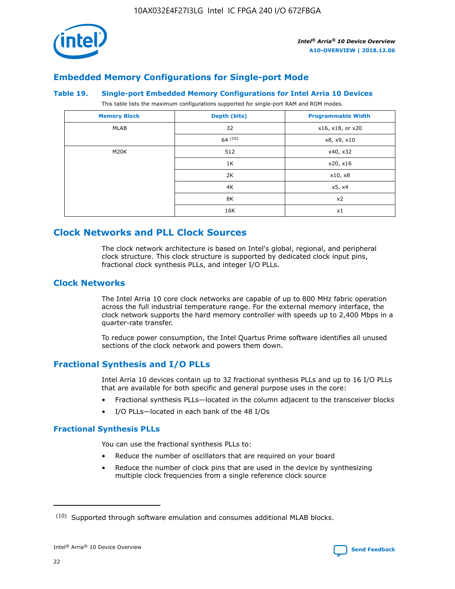

## **Embedded Memory Configurations for Single-port Mode**

#### **Table 19. Single-port Embedded Memory Configurations for Intel Arria 10 Devices**

This table lists the maximum configurations supported for single-port RAM and ROM modes.

| <b>Memory Block</b> | Depth (bits) | <b>Programmable Width</b> |
|---------------------|--------------|---------------------------|
| MLAB                | 32           | x16, x18, or x20          |
|                     | 64(10)       | x8, x9, x10               |
| M20K                | 512          | x40, x32                  |
|                     | 1K           | x20, x16                  |
|                     | 2K           | x10, x8                   |
|                     | 4K           | x5, x4                    |
|                     | 8K           | x2                        |
|                     | 16K          | x1                        |

## **Clock Networks and PLL Clock Sources**

The clock network architecture is based on Intel's global, regional, and peripheral clock structure. This clock structure is supported by dedicated clock input pins, fractional clock synthesis PLLs, and integer I/O PLLs.

## **Clock Networks**

The Intel Arria 10 core clock networks are capable of up to 800 MHz fabric operation across the full industrial temperature range. For the external memory interface, the clock network supports the hard memory controller with speeds up to 2,400 Mbps in a quarter-rate transfer.

To reduce power consumption, the Intel Quartus Prime software identifies all unused sections of the clock network and powers them down.

## **Fractional Synthesis and I/O PLLs**

Intel Arria 10 devices contain up to 32 fractional synthesis PLLs and up to 16 I/O PLLs that are available for both specific and general purpose uses in the core:

- Fractional synthesis PLLs—located in the column adjacent to the transceiver blocks
- I/O PLLs—located in each bank of the 48 I/Os

## **Fractional Synthesis PLLs**

You can use the fractional synthesis PLLs to:

- Reduce the number of oscillators that are required on your board
- Reduce the number of clock pins that are used in the device by synthesizing multiple clock frequencies from a single reference clock source

<sup>(10)</sup> Supported through software emulation and consumes additional MLAB blocks.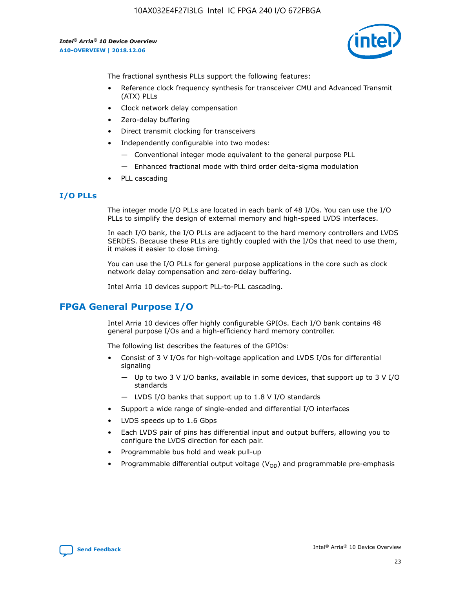

The fractional synthesis PLLs support the following features:

- Reference clock frequency synthesis for transceiver CMU and Advanced Transmit (ATX) PLLs
- Clock network delay compensation
- Zero-delay buffering
- Direct transmit clocking for transceivers
- Independently configurable into two modes:
	- Conventional integer mode equivalent to the general purpose PLL
	- Enhanced fractional mode with third order delta-sigma modulation
- PLL cascading

## **I/O PLLs**

The integer mode I/O PLLs are located in each bank of 48 I/Os. You can use the I/O PLLs to simplify the design of external memory and high-speed LVDS interfaces.

In each I/O bank, the I/O PLLs are adjacent to the hard memory controllers and LVDS SERDES. Because these PLLs are tightly coupled with the I/Os that need to use them, it makes it easier to close timing.

You can use the I/O PLLs for general purpose applications in the core such as clock network delay compensation and zero-delay buffering.

Intel Arria 10 devices support PLL-to-PLL cascading.

## **FPGA General Purpose I/O**

Intel Arria 10 devices offer highly configurable GPIOs. Each I/O bank contains 48 general purpose I/Os and a high-efficiency hard memory controller.

The following list describes the features of the GPIOs:

- Consist of 3 V I/Os for high-voltage application and LVDS I/Os for differential signaling
	- Up to two 3 V I/O banks, available in some devices, that support up to 3 V I/O standards
	- LVDS I/O banks that support up to 1.8 V I/O standards
- Support a wide range of single-ended and differential I/O interfaces
- LVDS speeds up to 1.6 Gbps
- Each LVDS pair of pins has differential input and output buffers, allowing you to configure the LVDS direction for each pair.
- Programmable bus hold and weak pull-up
- Programmable differential output voltage  $(V_{OD})$  and programmable pre-emphasis

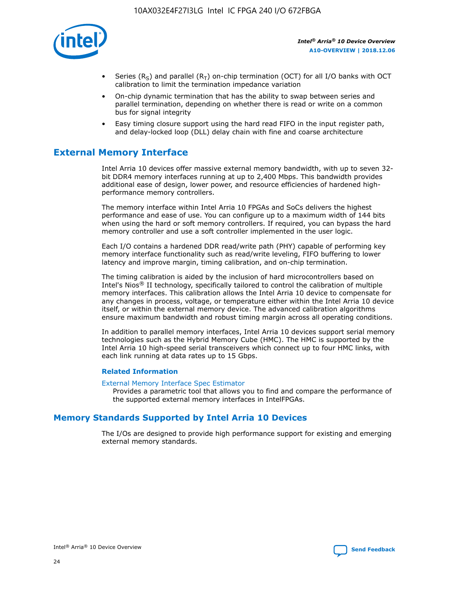

- Series (R<sub>S</sub>) and parallel (R<sub>T</sub>) on-chip termination (OCT) for all I/O banks with OCT calibration to limit the termination impedance variation
- On-chip dynamic termination that has the ability to swap between series and parallel termination, depending on whether there is read or write on a common bus for signal integrity
- Easy timing closure support using the hard read FIFO in the input register path, and delay-locked loop (DLL) delay chain with fine and coarse architecture

## **External Memory Interface**

Intel Arria 10 devices offer massive external memory bandwidth, with up to seven 32 bit DDR4 memory interfaces running at up to 2,400 Mbps. This bandwidth provides additional ease of design, lower power, and resource efficiencies of hardened highperformance memory controllers.

The memory interface within Intel Arria 10 FPGAs and SoCs delivers the highest performance and ease of use. You can configure up to a maximum width of 144 bits when using the hard or soft memory controllers. If required, you can bypass the hard memory controller and use a soft controller implemented in the user logic.

Each I/O contains a hardened DDR read/write path (PHY) capable of performing key memory interface functionality such as read/write leveling, FIFO buffering to lower latency and improve margin, timing calibration, and on-chip termination.

The timing calibration is aided by the inclusion of hard microcontrollers based on Intel's Nios® II technology, specifically tailored to control the calibration of multiple memory interfaces. This calibration allows the Intel Arria 10 device to compensate for any changes in process, voltage, or temperature either within the Intel Arria 10 device itself, or within the external memory device. The advanced calibration algorithms ensure maximum bandwidth and robust timing margin across all operating conditions.

In addition to parallel memory interfaces, Intel Arria 10 devices support serial memory technologies such as the Hybrid Memory Cube (HMC). The HMC is supported by the Intel Arria 10 high-speed serial transceivers which connect up to four HMC links, with each link running at data rates up to 15 Gbps.

## **Related Information**

#### [External Memory Interface Spec Estimator](http://www.altera.com/technology/memory/estimator/mem-emif-index.html)

Provides a parametric tool that allows you to find and compare the performance of the supported external memory interfaces in IntelFPGAs.

## **Memory Standards Supported by Intel Arria 10 Devices**

The I/Os are designed to provide high performance support for existing and emerging external memory standards.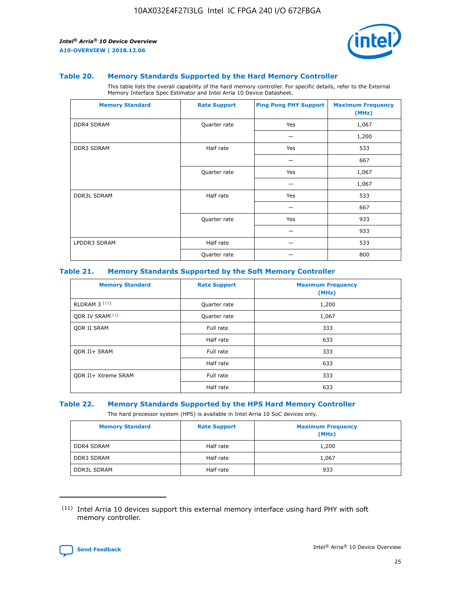

#### **Table 20. Memory Standards Supported by the Hard Memory Controller**

This table lists the overall capability of the hard memory controller. For specific details, refer to the External Memory Interface Spec Estimator and Intel Arria 10 Device Datasheet.

| <b>Memory Standard</b> | <b>Rate Support</b> | <b>Ping Pong PHY Support</b> | <b>Maximum Frequency</b><br>(MHz) |
|------------------------|---------------------|------------------------------|-----------------------------------|
| <b>DDR4 SDRAM</b>      | Quarter rate        | Yes                          | 1,067                             |
|                        |                     |                              | 1,200                             |
| DDR3 SDRAM             | Half rate           | Yes                          | 533                               |
|                        |                     |                              | 667                               |
|                        | Quarter rate        | Yes                          | 1,067                             |
|                        |                     |                              | 1,067                             |
| <b>DDR3L SDRAM</b>     | Half rate           | Yes                          | 533                               |
|                        |                     |                              | 667                               |
|                        | Quarter rate        | Yes                          | 933                               |
|                        |                     |                              | 933                               |
| LPDDR3 SDRAM           | Half rate           |                              | 533                               |
|                        | Quarter rate        |                              | 800                               |

#### **Table 21. Memory Standards Supported by the Soft Memory Controller**

| <b>Memory Standard</b>      | <b>Rate Support</b> | <b>Maximum Frequency</b><br>(MHz) |
|-----------------------------|---------------------|-----------------------------------|
| <b>RLDRAM 3 (11)</b>        | Quarter rate        | 1,200                             |
| ODR IV SRAM <sup>(11)</sup> | Quarter rate        | 1,067                             |
| <b>ODR II SRAM</b>          | Full rate           | 333                               |
|                             | Half rate           | 633                               |
| <b>ODR II+ SRAM</b>         | Full rate           | 333                               |
|                             | Half rate           | 633                               |
| <b>ODR II+ Xtreme SRAM</b>  | Full rate           | 333                               |
|                             | Half rate           | 633                               |

#### **Table 22. Memory Standards Supported by the HPS Hard Memory Controller**

The hard processor system (HPS) is available in Intel Arria 10 SoC devices only.

| <b>Memory Standard</b> | <b>Rate Support</b> | <b>Maximum Frequency</b><br>(MHz) |
|------------------------|---------------------|-----------------------------------|
| <b>DDR4 SDRAM</b>      | Half rate           | 1,200                             |
| <b>DDR3 SDRAM</b>      | Half rate           | 1,067                             |
| <b>DDR3L SDRAM</b>     | Half rate           | 933                               |

<sup>(11)</sup> Intel Arria 10 devices support this external memory interface using hard PHY with soft memory controller.

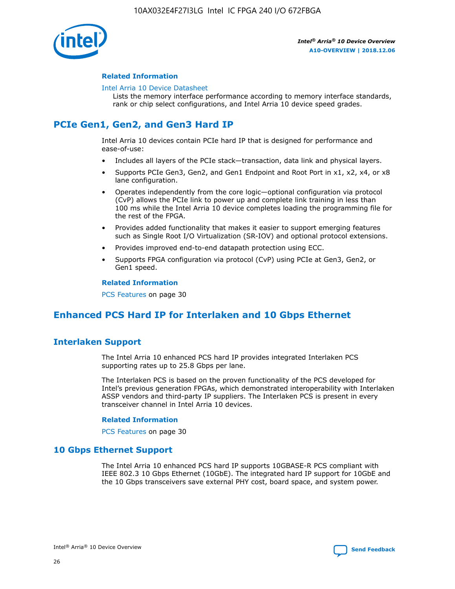

## **Related Information**

#### [Intel Arria 10 Device Datasheet](https://www.intel.com/content/www/us/en/programmable/documentation/mcn1413182292568.html#mcn1413182153340)

Lists the memory interface performance according to memory interface standards, rank or chip select configurations, and Intel Arria 10 device speed grades.

## **PCIe Gen1, Gen2, and Gen3 Hard IP**

Intel Arria 10 devices contain PCIe hard IP that is designed for performance and ease-of-use:

- Includes all layers of the PCIe stack—transaction, data link and physical layers.
- Supports PCIe Gen3, Gen2, and Gen1 Endpoint and Root Port in x1, x2, x4, or x8 lane configuration.
- Operates independently from the core logic—optional configuration via protocol (CvP) allows the PCIe link to power up and complete link training in less than 100 ms while the Intel Arria 10 device completes loading the programming file for the rest of the FPGA.
- Provides added functionality that makes it easier to support emerging features such as Single Root I/O Virtualization (SR-IOV) and optional protocol extensions.
- Provides improved end-to-end datapath protection using ECC.
- Supports FPGA configuration via protocol (CvP) using PCIe at Gen3, Gen2, or Gen1 speed.

#### **Related Information**

PCS Features on page 30

## **Enhanced PCS Hard IP for Interlaken and 10 Gbps Ethernet**

## **Interlaken Support**

The Intel Arria 10 enhanced PCS hard IP provides integrated Interlaken PCS supporting rates up to 25.8 Gbps per lane.

The Interlaken PCS is based on the proven functionality of the PCS developed for Intel's previous generation FPGAs, which demonstrated interoperability with Interlaken ASSP vendors and third-party IP suppliers. The Interlaken PCS is present in every transceiver channel in Intel Arria 10 devices.

## **Related Information**

PCS Features on page 30

## **10 Gbps Ethernet Support**

The Intel Arria 10 enhanced PCS hard IP supports 10GBASE-R PCS compliant with IEEE 802.3 10 Gbps Ethernet (10GbE). The integrated hard IP support for 10GbE and the 10 Gbps transceivers save external PHY cost, board space, and system power.

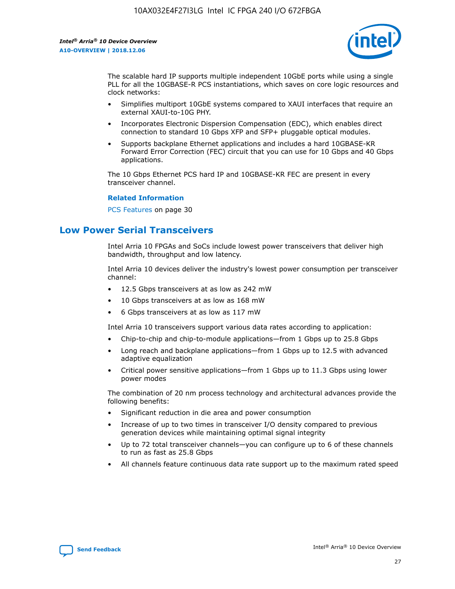

The scalable hard IP supports multiple independent 10GbE ports while using a single PLL for all the 10GBASE-R PCS instantiations, which saves on core logic resources and clock networks:

- Simplifies multiport 10GbE systems compared to XAUI interfaces that require an external XAUI-to-10G PHY.
- Incorporates Electronic Dispersion Compensation (EDC), which enables direct connection to standard 10 Gbps XFP and SFP+ pluggable optical modules.
- Supports backplane Ethernet applications and includes a hard 10GBASE-KR Forward Error Correction (FEC) circuit that you can use for 10 Gbps and 40 Gbps applications.

The 10 Gbps Ethernet PCS hard IP and 10GBASE-KR FEC are present in every transceiver channel.

#### **Related Information**

PCS Features on page 30

## **Low Power Serial Transceivers**

Intel Arria 10 FPGAs and SoCs include lowest power transceivers that deliver high bandwidth, throughput and low latency.

Intel Arria 10 devices deliver the industry's lowest power consumption per transceiver channel:

- 12.5 Gbps transceivers at as low as 242 mW
- 10 Gbps transceivers at as low as 168 mW
- 6 Gbps transceivers at as low as 117 mW

Intel Arria 10 transceivers support various data rates according to application:

- Chip-to-chip and chip-to-module applications—from 1 Gbps up to 25.8 Gbps
- Long reach and backplane applications—from 1 Gbps up to 12.5 with advanced adaptive equalization
- Critical power sensitive applications—from 1 Gbps up to 11.3 Gbps using lower power modes

The combination of 20 nm process technology and architectural advances provide the following benefits:

- Significant reduction in die area and power consumption
- Increase of up to two times in transceiver I/O density compared to previous generation devices while maintaining optimal signal integrity
- Up to 72 total transceiver channels—you can configure up to 6 of these channels to run as fast as 25.8 Gbps
- All channels feature continuous data rate support up to the maximum rated speed

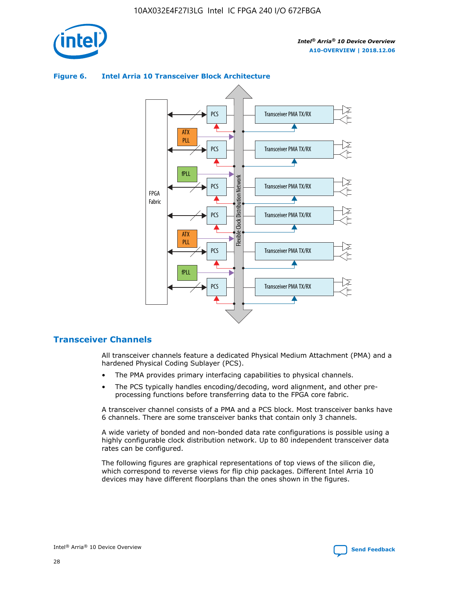

## Transceiver PMA TX/RX PCS ATX PLL Transceiver PMA TX/RX PCS fPLL Network Flexible Clock Distribution Network PCS Transceiver PMA TX/RX FPGA **Clock Distribution** Fabric PCS Transceiver PMA TX/RX ATX Flexible PLL PCS Transceiver PMA TX/RX ▲ fPLL Transceiver PMA TX/RX PCS 4

## **Figure 6. Intel Arria 10 Transceiver Block Architecture**

## **Transceiver Channels**

All transceiver channels feature a dedicated Physical Medium Attachment (PMA) and a hardened Physical Coding Sublayer (PCS).

- The PMA provides primary interfacing capabilities to physical channels.
- The PCS typically handles encoding/decoding, word alignment, and other preprocessing functions before transferring data to the FPGA core fabric.

A transceiver channel consists of a PMA and a PCS block. Most transceiver banks have 6 channels. There are some transceiver banks that contain only 3 channels.

A wide variety of bonded and non-bonded data rate configurations is possible using a highly configurable clock distribution network. Up to 80 independent transceiver data rates can be configured.

The following figures are graphical representations of top views of the silicon die, which correspond to reverse views for flip chip packages. Different Intel Arria 10 devices may have different floorplans than the ones shown in the figures.

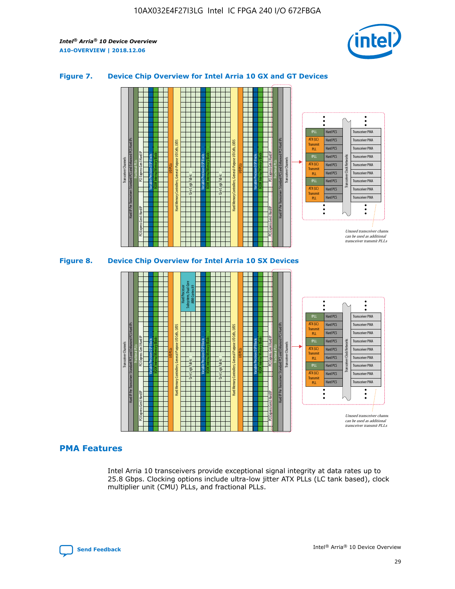

## **Figure 7. Device Chip Overview for Intel Arria 10 GX and GT Devices**



## **PMA Features**

Intel Arria 10 transceivers provide exceptional signal integrity at data rates up to 25.8 Gbps. Clocking options include ultra-low jitter ATX PLLs (LC tank based), clock multiplier unit (CMU) PLLs, and fractional PLLs.

Hard PCS Hard PCS Hard PCS Hard PCS

PLL fPLL ATX (LC) **Transmit** PLL

Transceiver PMA Transceiver PMA

Transceiver PMA Transceiver PMA

Unused transceiver chann can be used as additional transceiver transmit PLLs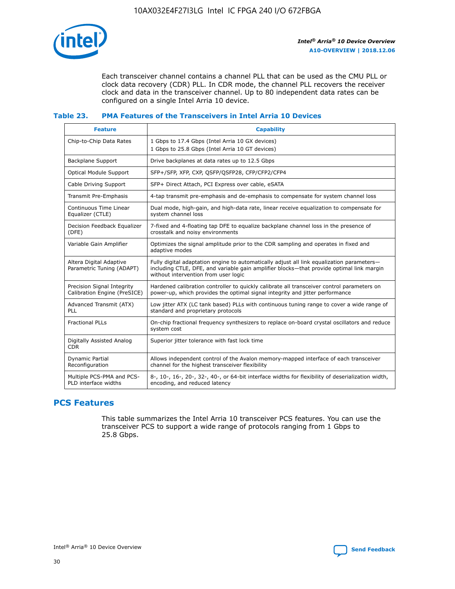

Each transceiver channel contains a channel PLL that can be used as the CMU PLL or clock data recovery (CDR) PLL. In CDR mode, the channel PLL recovers the receiver clock and data in the transceiver channel. Up to 80 independent data rates can be configured on a single Intel Arria 10 device.

## **Table 23. PMA Features of the Transceivers in Intel Arria 10 Devices**

| <b>Feature</b>                                             | <b>Capability</b>                                                                                                                                                                                                             |
|------------------------------------------------------------|-------------------------------------------------------------------------------------------------------------------------------------------------------------------------------------------------------------------------------|
| Chip-to-Chip Data Rates                                    | 1 Gbps to 17.4 Gbps (Intel Arria 10 GX devices)<br>1 Gbps to 25.8 Gbps (Intel Arria 10 GT devices)                                                                                                                            |
| Backplane Support                                          | Drive backplanes at data rates up to 12.5 Gbps                                                                                                                                                                                |
| <b>Optical Module Support</b>                              | SFP+/SFP, XFP, CXP, QSFP/QSFP28, CFP/CFP2/CFP4                                                                                                                                                                                |
| Cable Driving Support                                      | SFP+ Direct Attach, PCI Express over cable, eSATA                                                                                                                                                                             |
| Transmit Pre-Emphasis                                      | 4-tap transmit pre-emphasis and de-emphasis to compensate for system channel loss                                                                                                                                             |
| Continuous Time Linear<br>Equalizer (CTLE)                 | Dual mode, high-gain, and high-data rate, linear receive equalization to compensate for<br>system channel loss                                                                                                                |
| Decision Feedback Equalizer<br>(DFE)                       | 7-fixed and 4-floating tap DFE to equalize backplane channel loss in the presence of<br>crosstalk and noisy environments                                                                                                      |
| Variable Gain Amplifier                                    | Optimizes the signal amplitude prior to the CDR sampling and operates in fixed and<br>adaptive modes                                                                                                                          |
| Altera Digital Adaptive<br>Parametric Tuning (ADAPT)       | Fully digital adaptation engine to automatically adjust all link equalization parameters-<br>including CTLE, DFE, and variable gain amplifier blocks—that provide optimal link margin<br>without intervention from user logic |
| Precision Signal Integrity<br>Calibration Engine (PreSICE) | Hardened calibration controller to quickly calibrate all transceiver control parameters on<br>power-up, which provides the optimal signal integrity and jitter performance                                                    |
| Advanced Transmit (ATX)<br>PLL                             | Low jitter ATX (LC tank based) PLLs with continuous tuning range to cover a wide range of<br>standard and proprietary protocols                                                                                               |
| <b>Fractional PLLs</b>                                     | On-chip fractional frequency synthesizers to replace on-board crystal oscillators and reduce<br>system cost                                                                                                                   |
| Digitally Assisted Analog<br><b>CDR</b>                    | Superior jitter tolerance with fast lock time                                                                                                                                                                                 |
| Dynamic Partial<br>Reconfiguration                         | Allows independent control of the Avalon memory-mapped interface of each transceiver<br>channel for the highest transceiver flexibility                                                                                       |
| Multiple PCS-PMA and PCS-<br>PLD interface widths          | 8-, 10-, 16-, 20-, 32-, 40-, or 64-bit interface widths for flexibility of deserialization width,<br>encoding, and reduced latency                                                                                            |

## **PCS Features**

This table summarizes the Intel Arria 10 transceiver PCS features. You can use the transceiver PCS to support a wide range of protocols ranging from 1 Gbps to 25.8 Gbps.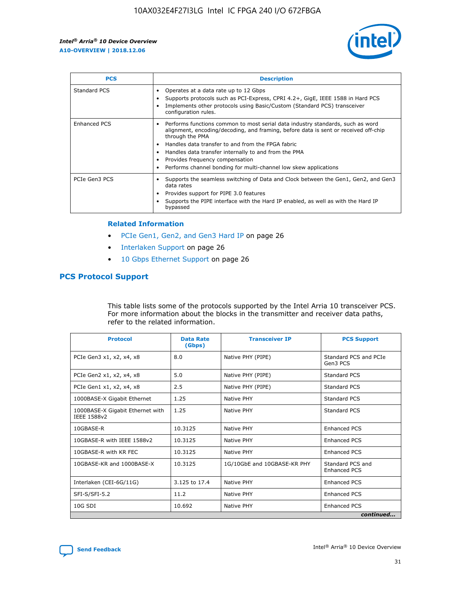

| <b>PCS</b>    | <b>Description</b>                                                                                                                                                                                                                                                                                                                                                                                                          |
|---------------|-----------------------------------------------------------------------------------------------------------------------------------------------------------------------------------------------------------------------------------------------------------------------------------------------------------------------------------------------------------------------------------------------------------------------------|
| Standard PCS  | Operates at a data rate up to 12 Gbps<br>Supports protocols such as PCI-Express, CPRI 4.2+, GigE, IEEE 1588 in Hard PCS<br>Implements other protocols using Basic/Custom (Standard PCS) transceiver<br>configuration rules.                                                                                                                                                                                                 |
| Enhanced PCS  | Performs functions common to most serial data industry standards, such as word<br>$\bullet$<br>alignment, encoding/decoding, and framing, before data is sent or received off-chip<br>through the PMA<br>• Handles data transfer to and from the FPGA fabric<br>Handles data transfer internally to and from the PMA<br>Provides frequency compensation<br>Performs channel bonding for multi-channel low skew applications |
| PCIe Gen3 PCS | Supports the seamless switching of Data and Clock between the Gen1, Gen2, and Gen3<br>data rates<br>Provides support for PIPE 3.0 features<br>Supports the PIPE interface with the Hard IP enabled, as well as with the Hard IP<br>bypassed                                                                                                                                                                                 |

#### **Related Information**

- PCIe Gen1, Gen2, and Gen3 Hard IP on page 26
- Interlaken Support on page 26
- 10 Gbps Ethernet Support on page 26

## **PCS Protocol Support**

This table lists some of the protocols supported by the Intel Arria 10 transceiver PCS. For more information about the blocks in the transmitter and receiver data paths, refer to the related information.

| <b>Protocol</b>                                 | <b>Data Rate</b><br>(Gbps) | <b>Transceiver IP</b>       | <b>PCS Support</b>                      |
|-------------------------------------------------|----------------------------|-----------------------------|-----------------------------------------|
| PCIe Gen3 x1, x2, x4, x8                        | 8.0                        | Native PHY (PIPE)           | Standard PCS and PCIe<br>Gen3 PCS       |
| PCIe Gen2 x1, x2, x4, x8                        | 5.0                        | Native PHY (PIPE)           | <b>Standard PCS</b>                     |
| PCIe Gen1 x1, x2, x4, x8                        | 2.5                        | Native PHY (PIPE)           | Standard PCS                            |
| 1000BASE-X Gigabit Ethernet                     | 1.25                       | Native PHY                  | <b>Standard PCS</b>                     |
| 1000BASE-X Gigabit Ethernet with<br>IEEE 1588v2 | 1.25                       | Native PHY                  | Standard PCS                            |
| 10GBASE-R                                       | 10.3125                    | Native PHY                  | <b>Enhanced PCS</b>                     |
| 10GBASE-R with IEEE 1588v2                      | 10.3125                    | Native PHY                  | <b>Enhanced PCS</b>                     |
| 10GBASE-R with KR FEC                           | 10.3125                    | Native PHY                  | <b>Enhanced PCS</b>                     |
| 10GBASE-KR and 1000BASE-X                       | 10.3125                    | 1G/10GbE and 10GBASE-KR PHY | Standard PCS and<br><b>Enhanced PCS</b> |
| Interlaken (CEI-6G/11G)                         | 3.125 to 17.4              | Native PHY                  | <b>Enhanced PCS</b>                     |
| SFI-S/SFI-5.2                                   | 11.2                       | Native PHY                  | <b>Enhanced PCS</b>                     |
| $10G$ SDI                                       | 10.692                     | Native PHY                  | <b>Enhanced PCS</b>                     |
|                                                 |                            |                             | continued                               |

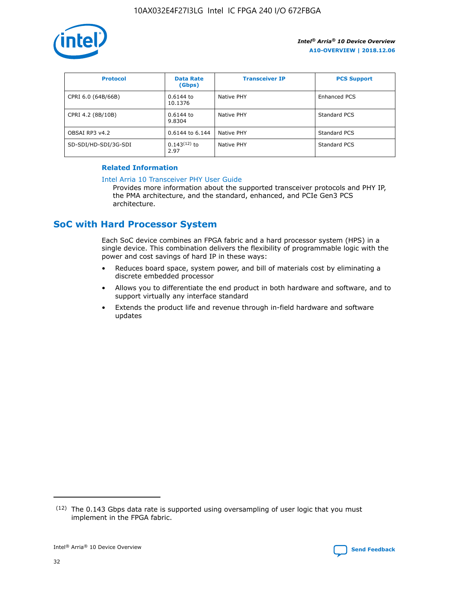

| <b>Protocol</b>      | <b>Data Rate</b><br>(Gbps) | <b>Transceiver IP</b> | <b>PCS Support</b> |
|----------------------|----------------------------|-----------------------|--------------------|
| CPRI 6.0 (64B/66B)   | 0.6144 to<br>10.1376       | Native PHY            | Enhanced PCS       |
| CPRI 4.2 (8B/10B)    | 0.6144 to<br>9.8304        | Native PHY            | Standard PCS       |
| OBSAI RP3 v4.2       | 0.6144 to 6.144            | Native PHY            | Standard PCS       |
| SD-SDI/HD-SDI/3G-SDI | $0.143(12)$ to<br>2.97     | Native PHY            | Standard PCS       |

## **Related Information**

#### [Intel Arria 10 Transceiver PHY User Guide](https://www.intel.com/content/www/us/en/programmable/documentation/nik1398707230472.html#nik1398707091164)

Provides more information about the supported transceiver protocols and PHY IP, the PMA architecture, and the standard, enhanced, and PCIe Gen3 PCS architecture.

## **SoC with Hard Processor System**

Each SoC device combines an FPGA fabric and a hard processor system (HPS) in a single device. This combination delivers the flexibility of programmable logic with the power and cost savings of hard IP in these ways:

- Reduces board space, system power, and bill of materials cost by eliminating a discrete embedded processor
- Allows you to differentiate the end product in both hardware and software, and to support virtually any interface standard
- Extends the product life and revenue through in-field hardware and software updates

 $(12)$  The 0.143 Gbps data rate is supported using oversampling of user logic that you must implement in the FPGA fabric.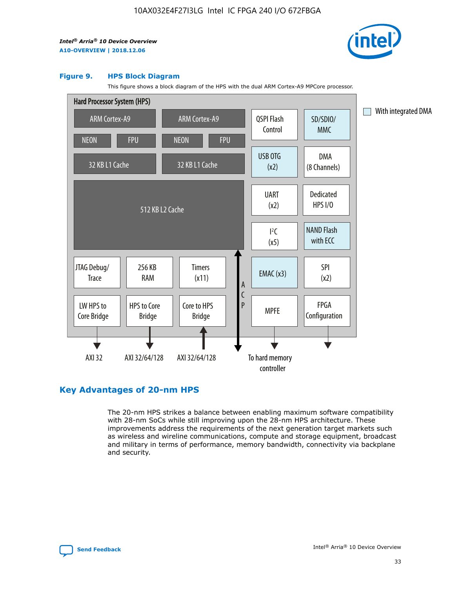

#### **Figure 9. HPS Block Diagram**

This figure shows a block diagram of the HPS with the dual ARM Cortex-A9 MPCore processor.



## **Key Advantages of 20-nm HPS**

The 20-nm HPS strikes a balance between enabling maximum software compatibility with 28-nm SoCs while still improving upon the 28-nm HPS architecture. These improvements address the requirements of the next generation target markets such as wireless and wireline communications, compute and storage equipment, broadcast and military in terms of performance, memory bandwidth, connectivity via backplane and security.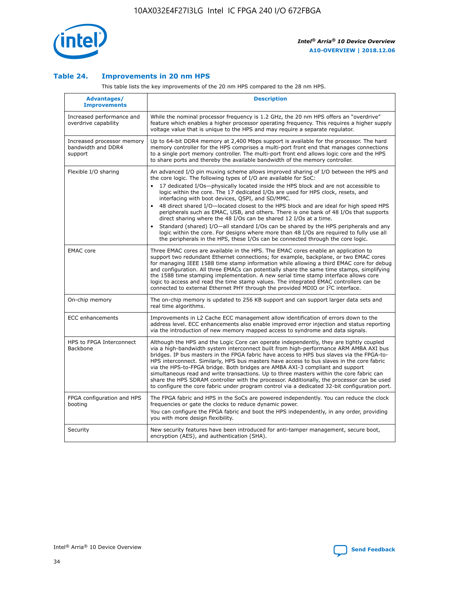

## **Table 24. Improvements in 20 nm HPS**

This table lists the key improvements of the 20 nm HPS compared to the 28 nm HPS.

| Advantages/<br><b>Improvements</b>                          | <b>Description</b>                                                                                                                                                                                                                                                                                                                                                                                                                                                                                                                                                                                                                                                                                                                                                                                                                                                                                                      |
|-------------------------------------------------------------|-------------------------------------------------------------------------------------------------------------------------------------------------------------------------------------------------------------------------------------------------------------------------------------------------------------------------------------------------------------------------------------------------------------------------------------------------------------------------------------------------------------------------------------------------------------------------------------------------------------------------------------------------------------------------------------------------------------------------------------------------------------------------------------------------------------------------------------------------------------------------------------------------------------------------|
| Increased performance and<br>overdrive capability           | While the nominal processor frequency is 1.2 GHz, the 20 nm HPS offers an "overdrive"<br>feature which enables a higher processor operating frequency. This requires a higher supply<br>voltage value that is unique to the HPS and may require a separate regulator.                                                                                                                                                                                                                                                                                                                                                                                                                                                                                                                                                                                                                                                   |
| Increased processor memory<br>bandwidth and DDR4<br>support | Up to 64-bit DDR4 memory at 2,400 Mbps support is available for the processor. The hard<br>memory controller for the HPS comprises a multi-port front end that manages connections<br>to a single port memory controller. The multi-port front end allows logic core and the HPS<br>to share ports and thereby the available bandwidth of the memory controller.                                                                                                                                                                                                                                                                                                                                                                                                                                                                                                                                                        |
| Flexible I/O sharing                                        | An advanced I/O pin muxing scheme allows improved sharing of I/O between the HPS and<br>the core logic. The following types of I/O are available for SoC:<br>17 dedicated I/Os-physically located inside the HPS block and are not accessible to<br>logic within the core. The 17 dedicated I/Os are used for HPS clock, resets, and<br>interfacing with boot devices, QSPI, and SD/MMC.<br>48 direct shared I/O-located closest to the HPS block and are ideal for high speed HPS<br>peripherals such as EMAC, USB, and others. There is one bank of 48 I/Os that supports<br>direct sharing where the 48 I/Os can be shared 12 I/Os at a time.<br>Standard (shared) I/O-all standard I/Os can be shared by the HPS peripherals and any<br>logic within the core. For designs where more than 48 I/Os are required to fully use all<br>the peripherals in the HPS, these I/Os can be connected through the core logic. |
| <b>EMAC</b> core                                            | Three EMAC cores are available in the HPS. The EMAC cores enable an application to<br>support two redundant Ethernet connections; for example, backplane, or two EMAC cores<br>for managing IEEE 1588 time stamp information while allowing a third EMAC core for debug<br>and configuration. All three EMACs can potentially share the same time stamps, simplifying<br>the 1588 time stamping implementation. A new serial time stamp interface allows core<br>logic to access and read the time stamp values. The integrated EMAC controllers can be<br>connected to external Ethernet PHY through the provided MDIO or I <sup>2</sup> C interface.                                                                                                                                                                                                                                                                  |
| On-chip memory                                              | The on-chip memory is updated to 256 KB support and can support larger data sets and<br>real time algorithms.                                                                                                                                                                                                                                                                                                                                                                                                                                                                                                                                                                                                                                                                                                                                                                                                           |
| <b>ECC</b> enhancements                                     | Improvements in L2 Cache ECC management allow identification of errors down to the<br>address level. ECC enhancements also enable improved error injection and status reporting<br>via the introduction of new memory mapped access to syndrome and data signals.                                                                                                                                                                                                                                                                                                                                                                                                                                                                                                                                                                                                                                                       |
| HPS to FPGA Interconnect<br>Backbone                        | Although the HPS and the Logic Core can operate independently, they are tightly coupled<br>via a high-bandwidth system interconnect built from high-performance ARM AMBA AXI bus<br>bridges. IP bus masters in the FPGA fabric have access to HPS bus slaves via the FPGA-to-<br>HPS interconnect. Similarly, HPS bus masters have access to bus slaves in the core fabric<br>via the HPS-to-FPGA bridge. Both bridges are AMBA AXI-3 compliant and support<br>simultaneous read and write transactions. Up to three masters within the core fabric can<br>share the HPS SDRAM controller with the processor. Additionally, the processor can be used<br>to configure the core fabric under program control via a dedicated 32-bit configuration port.                                                                                                                                                                  |
| FPGA configuration and HPS<br>booting                       | The FPGA fabric and HPS in the SoCs are powered independently. You can reduce the clock<br>frequencies or gate the clocks to reduce dynamic power.<br>You can configure the FPGA fabric and boot the HPS independently, in any order, providing<br>you with more design flexibility.                                                                                                                                                                                                                                                                                                                                                                                                                                                                                                                                                                                                                                    |
| Security                                                    | New security features have been introduced for anti-tamper management, secure boot,<br>encryption (AES), and authentication (SHA).                                                                                                                                                                                                                                                                                                                                                                                                                                                                                                                                                                                                                                                                                                                                                                                      |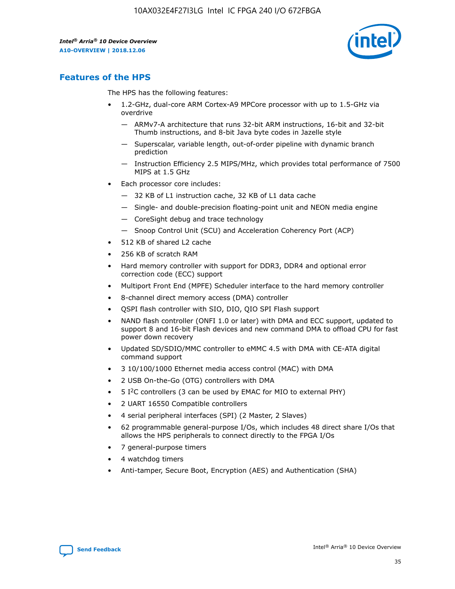

## **Features of the HPS**

The HPS has the following features:

- 1.2-GHz, dual-core ARM Cortex-A9 MPCore processor with up to 1.5-GHz via overdrive
	- ARMv7-A architecture that runs 32-bit ARM instructions, 16-bit and 32-bit Thumb instructions, and 8-bit Java byte codes in Jazelle style
	- Superscalar, variable length, out-of-order pipeline with dynamic branch prediction
	- Instruction Efficiency 2.5 MIPS/MHz, which provides total performance of 7500 MIPS at 1.5 GHz
- Each processor core includes:
	- 32 KB of L1 instruction cache, 32 KB of L1 data cache
	- Single- and double-precision floating-point unit and NEON media engine
	- CoreSight debug and trace technology
	- Snoop Control Unit (SCU) and Acceleration Coherency Port (ACP)
- 512 KB of shared L2 cache
- 256 KB of scratch RAM
- Hard memory controller with support for DDR3, DDR4 and optional error correction code (ECC) support
- Multiport Front End (MPFE) Scheduler interface to the hard memory controller
- 8-channel direct memory access (DMA) controller
- QSPI flash controller with SIO, DIO, QIO SPI Flash support
- NAND flash controller (ONFI 1.0 or later) with DMA and ECC support, updated to support 8 and 16-bit Flash devices and new command DMA to offload CPU for fast power down recovery
- Updated SD/SDIO/MMC controller to eMMC 4.5 with DMA with CE-ATA digital command support
- 3 10/100/1000 Ethernet media access control (MAC) with DMA
- 2 USB On-the-Go (OTG) controllers with DMA
- $\bullet$  5 I<sup>2</sup>C controllers (3 can be used by EMAC for MIO to external PHY)
- 2 UART 16550 Compatible controllers
- 4 serial peripheral interfaces (SPI) (2 Master, 2 Slaves)
- 62 programmable general-purpose I/Os, which includes 48 direct share I/Os that allows the HPS peripherals to connect directly to the FPGA I/Os
- 7 general-purpose timers
- 4 watchdog timers
- Anti-tamper, Secure Boot, Encryption (AES) and Authentication (SHA)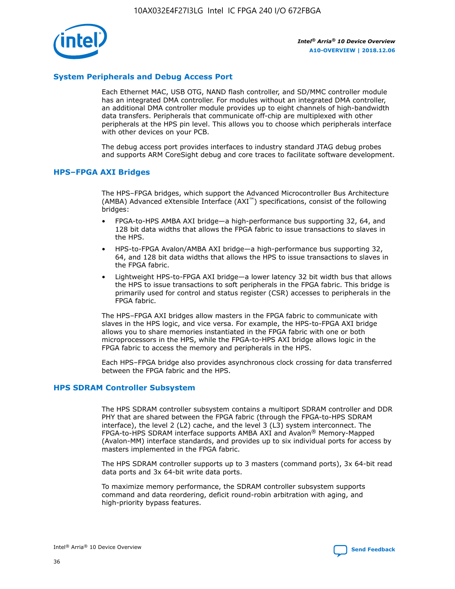

## **System Peripherals and Debug Access Port**

Each Ethernet MAC, USB OTG, NAND flash controller, and SD/MMC controller module has an integrated DMA controller. For modules without an integrated DMA controller, an additional DMA controller module provides up to eight channels of high-bandwidth data transfers. Peripherals that communicate off-chip are multiplexed with other peripherals at the HPS pin level. This allows you to choose which peripherals interface with other devices on your PCB.

The debug access port provides interfaces to industry standard JTAG debug probes and supports ARM CoreSight debug and core traces to facilitate software development.

#### **HPS–FPGA AXI Bridges**

The HPS–FPGA bridges, which support the Advanced Microcontroller Bus Architecture (AMBA) Advanced eXtensible Interface (AXI™) specifications, consist of the following bridges:

- FPGA-to-HPS AMBA AXI bridge—a high-performance bus supporting 32, 64, and 128 bit data widths that allows the FPGA fabric to issue transactions to slaves in the HPS.
- HPS-to-FPGA Avalon/AMBA AXI bridge—a high-performance bus supporting 32, 64, and 128 bit data widths that allows the HPS to issue transactions to slaves in the FPGA fabric.
- Lightweight HPS-to-FPGA AXI bridge—a lower latency 32 bit width bus that allows the HPS to issue transactions to soft peripherals in the FPGA fabric. This bridge is primarily used for control and status register (CSR) accesses to peripherals in the FPGA fabric.

The HPS–FPGA AXI bridges allow masters in the FPGA fabric to communicate with slaves in the HPS logic, and vice versa. For example, the HPS-to-FPGA AXI bridge allows you to share memories instantiated in the FPGA fabric with one or both microprocessors in the HPS, while the FPGA-to-HPS AXI bridge allows logic in the FPGA fabric to access the memory and peripherals in the HPS.

Each HPS–FPGA bridge also provides asynchronous clock crossing for data transferred between the FPGA fabric and the HPS.

#### **HPS SDRAM Controller Subsystem**

The HPS SDRAM controller subsystem contains a multiport SDRAM controller and DDR PHY that are shared between the FPGA fabric (through the FPGA-to-HPS SDRAM interface), the level 2 (L2) cache, and the level 3 (L3) system interconnect. The FPGA-to-HPS SDRAM interface supports AMBA AXI and Avalon® Memory-Mapped (Avalon-MM) interface standards, and provides up to six individual ports for access by masters implemented in the FPGA fabric.

The HPS SDRAM controller supports up to 3 masters (command ports), 3x 64-bit read data ports and 3x 64-bit write data ports.

To maximize memory performance, the SDRAM controller subsystem supports command and data reordering, deficit round-robin arbitration with aging, and high-priority bypass features.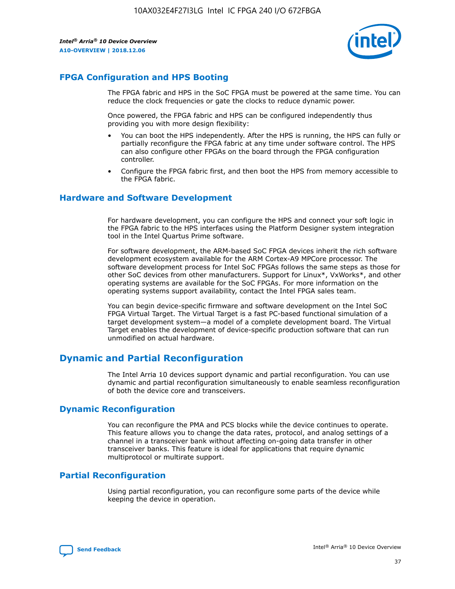

## **FPGA Configuration and HPS Booting**

The FPGA fabric and HPS in the SoC FPGA must be powered at the same time. You can reduce the clock frequencies or gate the clocks to reduce dynamic power.

Once powered, the FPGA fabric and HPS can be configured independently thus providing you with more design flexibility:

- You can boot the HPS independently. After the HPS is running, the HPS can fully or partially reconfigure the FPGA fabric at any time under software control. The HPS can also configure other FPGAs on the board through the FPGA configuration controller.
- Configure the FPGA fabric first, and then boot the HPS from memory accessible to the FPGA fabric.

## **Hardware and Software Development**

For hardware development, you can configure the HPS and connect your soft logic in the FPGA fabric to the HPS interfaces using the Platform Designer system integration tool in the Intel Quartus Prime software.

For software development, the ARM-based SoC FPGA devices inherit the rich software development ecosystem available for the ARM Cortex-A9 MPCore processor. The software development process for Intel SoC FPGAs follows the same steps as those for other SoC devices from other manufacturers. Support for Linux\*, VxWorks\*, and other operating systems are available for the SoC FPGAs. For more information on the operating systems support availability, contact the Intel FPGA sales team.

You can begin device-specific firmware and software development on the Intel SoC FPGA Virtual Target. The Virtual Target is a fast PC-based functional simulation of a target development system—a model of a complete development board. The Virtual Target enables the development of device-specific production software that can run unmodified on actual hardware.

## **Dynamic and Partial Reconfiguration**

The Intel Arria 10 devices support dynamic and partial reconfiguration. You can use dynamic and partial reconfiguration simultaneously to enable seamless reconfiguration of both the device core and transceivers.

## **Dynamic Reconfiguration**

You can reconfigure the PMA and PCS blocks while the device continues to operate. This feature allows you to change the data rates, protocol, and analog settings of a channel in a transceiver bank without affecting on-going data transfer in other transceiver banks. This feature is ideal for applications that require dynamic multiprotocol or multirate support.

## **Partial Reconfiguration**

Using partial reconfiguration, you can reconfigure some parts of the device while keeping the device in operation.

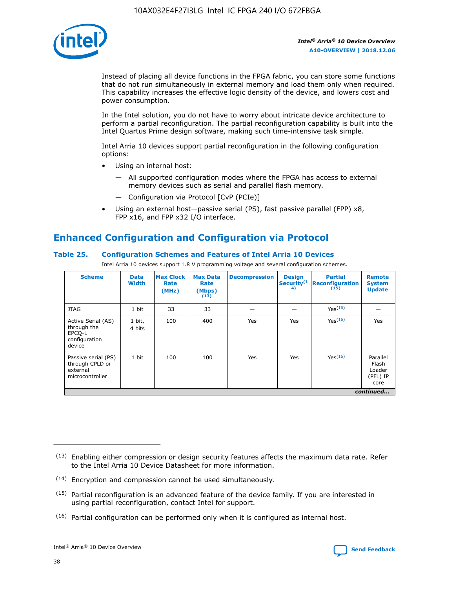

Instead of placing all device functions in the FPGA fabric, you can store some functions that do not run simultaneously in external memory and load them only when required. This capability increases the effective logic density of the device, and lowers cost and power consumption.

In the Intel solution, you do not have to worry about intricate device architecture to perform a partial reconfiguration. The partial reconfiguration capability is built into the Intel Quartus Prime design software, making such time-intensive task simple.

Intel Arria 10 devices support partial reconfiguration in the following configuration options:

- Using an internal host:
	- All supported configuration modes where the FPGA has access to external memory devices such as serial and parallel flash memory.
	- Configuration via Protocol [CvP (PCIe)]
- Using an external host—passive serial (PS), fast passive parallel (FPP) x8, FPP x16, and FPP x32 I/O interface.

# **Enhanced Configuration and Configuration via Protocol**

## **Table 25. Configuration Schemes and Features of Intel Arria 10 Devices**

Intel Arria 10 devices support 1.8 V programming voltage and several configuration schemes.

| <b>Scheme</b>                                                          | <b>Data</b><br><b>Width</b> | <b>Max Clock</b><br>Rate<br>(MHz) | <b>Max Data</b><br>Rate<br>(Mbps)<br>(13) | <b>Decompression</b> | <b>Design</b><br>Security <sup>(1</sup><br>4) | <b>Partial</b><br><b>Reconfiguration</b><br>(15) | <b>Remote</b><br><b>System</b><br><b>Update</b> |
|------------------------------------------------------------------------|-----------------------------|-----------------------------------|-------------------------------------------|----------------------|-----------------------------------------------|--------------------------------------------------|-------------------------------------------------|
| <b>JTAG</b>                                                            | 1 bit                       | 33                                | 33                                        |                      |                                               | Yes(16)                                          |                                                 |
| Active Serial (AS)<br>through the<br>EPCO-L<br>configuration<br>device | 1 bit,<br>4 bits            | 100                               | 400                                       | Yes                  | Yes                                           | $Y_{PS}(16)$                                     | Yes                                             |
| Passive serial (PS)<br>through CPLD or<br>external<br>microcontroller  | 1 bit                       | 100                               | 100                                       | Yes                  | Yes                                           | Yes(16)                                          | Parallel<br>Flash<br>Loader<br>(PFL) IP<br>core |
|                                                                        |                             |                                   |                                           |                      |                                               |                                                  | continued                                       |

<sup>(13)</sup> Enabling either compression or design security features affects the maximum data rate. Refer to the Intel Arria 10 Device Datasheet for more information.

<sup>(14)</sup> Encryption and compression cannot be used simultaneously.

 $<sup>(15)</sup>$  Partial reconfiguration is an advanced feature of the device family. If you are interested in</sup> using partial reconfiguration, contact Intel for support.

 $(16)$  Partial configuration can be performed only when it is configured as internal host.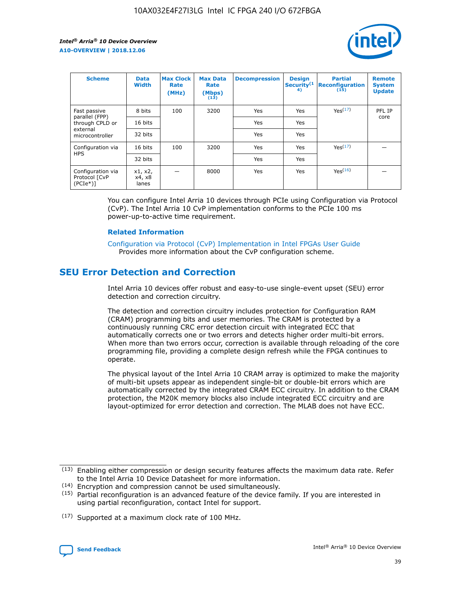

| <b>Scheme</b>                                    | <b>Data</b><br><b>Width</b> | <b>Max Clock</b><br>Rate<br>(MHz) | <b>Max Data</b><br>Rate<br>(Mbps)<br>(13) | <b>Decompression</b> | <b>Design</b><br>Security <sup>(1</sup><br>4) | <b>Partial</b><br><b>Reconfiguration</b><br>(15) | <b>Remote</b><br><b>System</b><br><b>Update</b> |
|--------------------------------------------------|-----------------------------|-----------------------------------|-------------------------------------------|----------------------|-----------------------------------------------|--------------------------------------------------|-------------------------------------------------|
| Fast passive                                     | 8 bits                      | 100                               | 3200                                      | Yes                  | Yes                                           | Yes(17)                                          | PFL IP                                          |
| parallel (FPP)<br>through CPLD or                | 16 bits                     |                                   |                                           | Yes                  | Yes                                           |                                                  | core                                            |
| external<br>microcontroller                      | 32 bits                     |                                   |                                           | Yes                  | Yes                                           |                                                  |                                                 |
| Configuration via                                | 16 bits                     | 100                               | 3200                                      | Yes                  | Yes                                           | Yes <sup>(17)</sup>                              |                                                 |
| <b>HPS</b>                                       | 32 bits                     |                                   |                                           | Yes                  | Yes                                           |                                                  |                                                 |
| Configuration via<br>Protocol [CvP<br>$(PCIe^*)$ | x1, x2,<br>x4, x8<br>lanes  |                                   | 8000                                      | Yes                  | Yes                                           | Yes <sup>(16)</sup>                              |                                                 |

You can configure Intel Arria 10 devices through PCIe using Configuration via Protocol (CvP). The Intel Arria 10 CvP implementation conforms to the PCIe 100 ms power-up-to-active time requirement.

## **Related Information**

[Configuration via Protocol \(CvP\) Implementation in Intel FPGAs User Guide](https://www.intel.com/content/www/us/en/programmable/documentation/dsu1441819344145.html#dsu1442269728522) Provides more information about the CvP configuration scheme.

## **SEU Error Detection and Correction**

Intel Arria 10 devices offer robust and easy-to-use single-event upset (SEU) error detection and correction circuitry.

The detection and correction circuitry includes protection for Configuration RAM (CRAM) programming bits and user memories. The CRAM is protected by a continuously running CRC error detection circuit with integrated ECC that automatically corrects one or two errors and detects higher order multi-bit errors. When more than two errors occur, correction is available through reloading of the core programming file, providing a complete design refresh while the FPGA continues to operate.

The physical layout of the Intel Arria 10 CRAM array is optimized to make the majority of multi-bit upsets appear as independent single-bit or double-bit errors which are automatically corrected by the integrated CRAM ECC circuitry. In addition to the CRAM protection, the M20K memory blocks also include integrated ECC circuitry and are layout-optimized for error detection and correction. The MLAB does not have ECC.

(14) Encryption and compression cannot be used simultaneously.

<sup>(17)</sup> Supported at a maximum clock rate of 100 MHz.



 $(13)$  Enabling either compression or design security features affects the maximum data rate. Refer to the Intel Arria 10 Device Datasheet for more information.

 $(15)$  Partial reconfiguration is an advanced feature of the device family. If you are interested in using partial reconfiguration, contact Intel for support.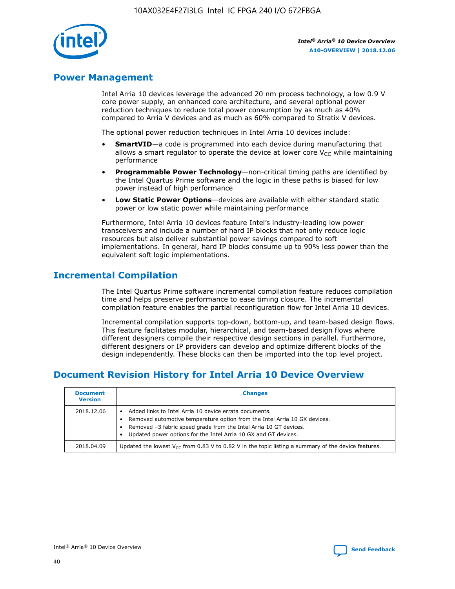

## **Power Management**

Intel Arria 10 devices leverage the advanced 20 nm process technology, a low 0.9 V core power supply, an enhanced core architecture, and several optional power reduction techniques to reduce total power consumption by as much as 40% compared to Arria V devices and as much as 60% compared to Stratix V devices.

The optional power reduction techniques in Intel Arria 10 devices include:

- **SmartVID**—a code is programmed into each device during manufacturing that allows a smart regulator to operate the device at lower core  $V_{CC}$  while maintaining performance
- **Programmable Power Technology**—non-critical timing paths are identified by the Intel Quartus Prime software and the logic in these paths is biased for low power instead of high performance
- **Low Static Power Options**—devices are available with either standard static power or low static power while maintaining performance

Furthermore, Intel Arria 10 devices feature Intel's industry-leading low power transceivers and include a number of hard IP blocks that not only reduce logic resources but also deliver substantial power savings compared to soft implementations. In general, hard IP blocks consume up to 90% less power than the equivalent soft logic implementations.

## **Incremental Compilation**

The Intel Quartus Prime software incremental compilation feature reduces compilation time and helps preserve performance to ease timing closure. The incremental compilation feature enables the partial reconfiguration flow for Intel Arria 10 devices.

Incremental compilation supports top-down, bottom-up, and team-based design flows. This feature facilitates modular, hierarchical, and team-based design flows where different designers compile their respective design sections in parallel. Furthermore, different designers or IP providers can develop and optimize different blocks of the design independently. These blocks can then be imported into the top level project.

## **Document Revision History for Intel Arria 10 Device Overview**

| <b>Document</b><br><b>Version</b> | <b>Changes</b>                                                                                                                                                                                                                                                              |
|-----------------------------------|-----------------------------------------------------------------------------------------------------------------------------------------------------------------------------------------------------------------------------------------------------------------------------|
| 2018.12.06                        | Added links to Intel Arria 10 device errata documents.<br>Removed automotive temperature option from the Intel Arria 10 GX devices.<br>Removed -3 fabric speed grade from the Intel Arria 10 GT devices.<br>Updated power options for the Intel Arria 10 GX and GT devices. |
| 2018.04.09                        | Updated the lowest $V_{CC}$ from 0.83 V to 0.82 V in the topic listing a summary of the device features.                                                                                                                                                                    |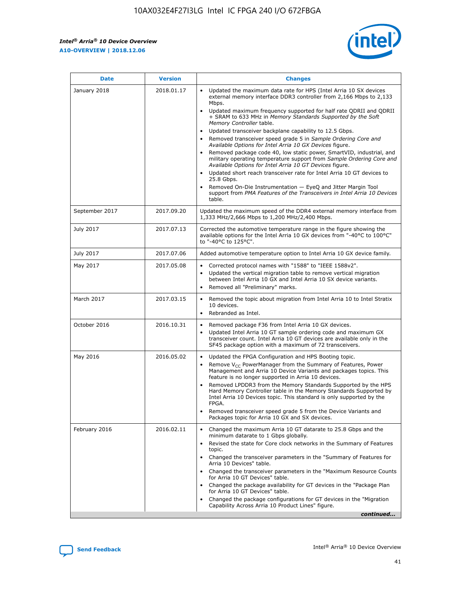F

 $\mathsf{r}$ 



| January 2018<br>Updated the maximum data rate for HPS (Intel Arria 10 SX devices<br>2018.01.17<br>external memory interface DDR3 controller from 2,166 Mbps to 2,133<br>Mbps.<br>$\bullet$<br>+ SRAM to 633 MHz in Memory Standards Supported by the Soft<br>Memory Controller table.<br>Updated transceiver backplane capability to 12.5 Gbps.<br>$\bullet$<br>Removed transceiver speed grade 5 in Sample Ordering Core and<br>Available Options for Intel Arria 10 GX Devices figure.<br>Available Options for Intel Arria 10 GT Devices figure.<br>Updated short reach transceiver rate for Intel Arria 10 GT devices to<br>$\bullet$<br>25.8 Gbps.<br>Removed On-Die Instrumentation - EyeQ and Jitter Margin Tool<br>table.<br>2017.09.20<br>September 2017<br>1,333 MHz/2,666 Mbps to 1,200 MHz/2,400 Mbps.<br>July 2017<br>2017.07.13<br>Corrected the automotive temperature range in the figure showing the<br>available options for the Intel Arria 10 GX devices from "-40°C to 100°C"<br>to "-40°C to 125°C".<br>July 2017<br>2017.07.06<br>Added automotive temperature option to Intel Arria 10 GX device family.<br>2017.05.08<br>Corrected protocol names with "1588" to "IEEE 1588v2".<br>May 2017<br>$\bullet$<br>Updated the vertical migration table to remove vertical migration<br>$\bullet$<br>between Intel Arria 10 GX and Intel Arria 10 SX device variants.<br>Removed all "Preliminary" marks.<br>2017.03.15<br>March 2017<br>Removed the topic about migration from Intel Arria 10 to Intel Stratix<br>10 devices.<br>Rebranded as Intel.<br>$\bullet$<br>October 2016<br>2016.10.31<br>Removed package F36 from Intel Arria 10 GX devices.<br>$\bullet$<br>Updated Intel Arria 10 GT sample ordering code and maximum GX<br>$\bullet$<br>transceiver count. Intel Arria 10 GT devices are available only in the<br>SF45 package option with a maximum of 72 transceivers.<br>May 2016<br>2016.05.02<br>Updated the FPGA Configuration and HPS Booting topic.<br>Remove $V_{CC}$ PowerManager from the Summary of Features, Power<br>Management and Arria 10 Device Variants and packages topics. This<br>feature is no longer supported in Arria 10 devices.<br>Removed LPDDR3 from the Memory Standards Supported by the HPS<br>Hard Memory Controller table in the Memory Standards Supported by<br>Intel Arria 10 Devices topic. This standard is only supported by the<br>FPGA.<br>Removed transceiver speed grade 5 from the Device Variants and<br>Packages topic for Arria 10 GX and SX devices.<br>Changed the maximum Arria 10 GT datarate to 25.8 Gbps and the<br>February 2016<br>2016.02.11<br>minimum datarate to 1 Gbps globally.<br>Revised the state for Core clock networks in the Summary of Features<br>$\bullet$<br>topic.<br>• Changed the transceiver parameters in the "Summary of Features for<br>Arria 10 Devices" table.<br>for Arria 10 GT Devices" table.<br>• Changed the package availability for GT devices in the "Package Plan<br>for Arria 10 GT Devices" table.<br>Changed the package configurations for GT devices in the "Migration"<br>Capability Across Arria 10 Product Lines" figure. | <b>Date</b> | <b>Version</b> | <b>Changes</b>                                                                                                                                                                                                                                                                               |
|----------------------------------------------------------------------------------------------------------------------------------------------------------------------------------------------------------------------------------------------------------------------------------------------------------------------------------------------------------------------------------------------------------------------------------------------------------------------------------------------------------------------------------------------------------------------------------------------------------------------------------------------------------------------------------------------------------------------------------------------------------------------------------------------------------------------------------------------------------------------------------------------------------------------------------------------------------------------------------------------------------------------------------------------------------------------------------------------------------------------------------------------------------------------------------------------------------------------------------------------------------------------------------------------------------------------------------------------------------------------------------------------------------------------------------------------------------------------------------------------------------------------------------------------------------------------------------------------------------------------------------------------------------------------------------------------------------------------------------------------------------------------------------------------------------------------------------------------------------------------------------------------------------------------------------------------------------------------------------------------------------------------------------------------------------------------------------------------------------------------------------------------------------------------------------------------------------------------------------------------------------------------------------------------------------------------------------------------------------------------------------------------------------------------------------------------------------------------------------------------------------------------------------------------------------------------------------------------------------------------------------------------------------------------------------------------------------------------------------------------------------------------------------------------------------------------------------------------------------------------------------------------------------------------------------------------------------------------------------------------------------------------------------------------------------------------------------------------------------------------------------------------------------------|-------------|----------------|----------------------------------------------------------------------------------------------------------------------------------------------------------------------------------------------------------------------------------------------------------------------------------------------|
|                                                                                                                                                                                                                                                                                                                                                                                                                                                                                                                                                                                                                                                                                                                                                                                                                                                                                                                                                                                                                                                                                                                                                                                                                                                                                                                                                                                                                                                                                                                                                                                                                                                                                                                                                                                                                                                                                                                                                                                                                                                                                                                                                                                                                                                                                                                                                                                                                                                                                                                                                                                                                                                                                                                                                                                                                                                                                                                                                                                                                                                                                                                                                                |             |                | Updated maximum frequency supported for half rate QDRII and QDRII<br>Removed package code 40, low static power, SmartVID, industrial, and<br>military operating temperature support from Sample Ordering Core and<br>support from PMA Features of the Transceivers in Intel Arria 10 Devices |
|                                                                                                                                                                                                                                                                                                                                                                                                                                                                                                                                                                                                                                                                                                                                                                                                                                                                                                                                                                                                                                                                                                                                                                                                                                                                                                                                                                                                                                                                                                                                                                                                                                                                                                                                                                                                                                                                                                                                                                                                                                                                                                                                                                                                                                                                                                                                                                                                                                                                                                                                                                                                                                                                                                                                                                                                                                                                                                                                                                                                                                                                                                                                                                |             |                | Updated the maximum speed of the DDR4 external memory interface from                                                                                                                                                                                                                         |
|                                                                                                                                                                                                                                                                                                                                                                                                                                                                                                                                                                                                                                                                                                                                                                                                                                                                                                                                                                                                                                                                                                                                                                                                                                                                                                                                                                                                                                                                                                                                                                                                                                                                                                                                                                                                                                                                                                                                                                                                                                                                                                                                                                                                                                                                                                                                                                                                                                                                                                                                                                                                                                                                                                                                                                                                                                                                                                                                                                                                                                                                                                                                                                |             |                |                                                                                                                                                                                                                                                                                              |
|                                                                                                                                                                                                                                                                                                                                                                                                                                                                                                                                                                                                                                                                                                                                                                                                                                                                                                                                                                                                                                                                                                                                                                                                                                                                                                                                                                                                                                                                                                                                                                                                                                                                                                                                                                                                                                                                                                                                                                                                                                                                                                                                                                                                                                                                                                                                                                                                                                                                                                                                                                                                                                                                                                                                                                                                                                                                                                                                                                                                                                                                                                                                                                |             |                |                                                                                                                                                                                                                                                                                              |
|                                                                                                                                                                                                                                                                                                                                                                                                                                                                                                                                                                                                                                                                                                                                                                                                                                                                                                                                                                                                                                                                                                                                                                                                                                                                                                                                                                                                                                                                                                                                                                                                                                                                                                                                                                                                                                                                                                                                                                                                                                                                                                                                                                                                                                                                                                                                                                                                                                                                                                                                                                                                                                                                                                                                                                                                                                                                                                                                                                                                                                                                                                                                                                |             |                |                                                                                                                                                                                                                                                                                              |
|                                                                                                                                                                                                                                                                                                                                                                                                                                                                                                                                                                                                                                                                                                                                                                                                                                                                                                                                                                                                                                                                                                                                                                                                                                                                                                                                                                                                                                                                                                                                                                                                                                                                                                                                                                                                                                                                                                                                                                                                                                                                                                                                                                                                                                                                                                                                                                                                                                                                                                                                                                                                                                                                                                                                                                                                                                                                                                                                                                                                                                                                                                                                                                |             |                |                                                                                                                                                                                                                                                                                              |
|                                                                                                                                                                                                                                                                                                                                                                                                                                                                                                                                                                                                                                                                                                                                                                                                                                                                                                                                                                                                                                                                                                                                                                                                                                                                                                                                                                                                                                                                                                                                                                                                                                                                                                                                                                                                                                                                                                                                                                                                                                                                                                                                                                                                                                                                                                                                                                                                                                                                                                                                                                                                                                                                                                                                                                                                                                                                                                                                                                                                                                                                                                                                                                |             |                |                                                                                                                                                                                                                                                                                              |
|                                                                                                                                                                                                                                                                                                                                                                                                                                                                                                                                                                                                                                                                                                                                                                                                                                                                                                                                                                                                                                                                                                                                                                                                                                                                                                                                                                                                                                                                                                                                                                                                                                                                                                                                                                                                                                                                                                                                                                                                                                                                                                                                                                                                                                                                                                                                                                                                                                                                                                                                                                                                                                                                                                                                                                                                                                                                                                                                                                                                                                                                                                                                                                |             |                |                                                                                                                                                                                                                                                                                              |
|                                                                                                                                                                                                                                                                                                                                                                                                                                                                                                                                                                                                                                                                                                                                                                                                                                                                                                                                                                                                                                                                                                                                                                                                                                                                                                                                                                                                                                                                                                                                                                                                                                                                                                                                                                                                                                                                                                                                                                                                                                                                                                                                                                                                                                                                                                                                                                                                                                                                                                                                                                                                                                                                                                                                                                                                                                                                                                                                                                                                                                                                                                                                                                |             |                | Changed the transceiver parameters in the "Maximum Resource Counts"<br>continued                                                                                                                                                                                                             |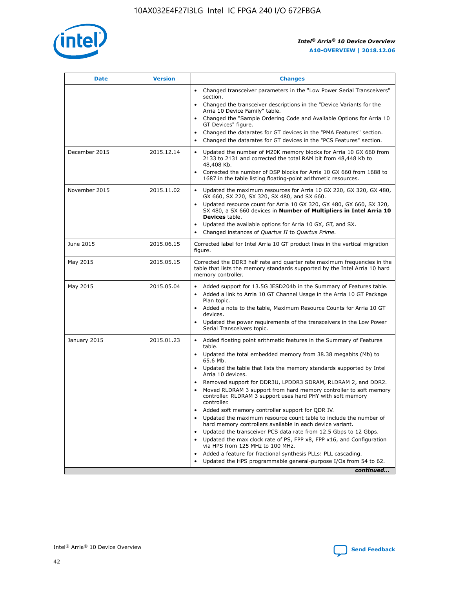

| <b>Date</b>   | <b>Version</b> | <b>Changes</b>                                                                                                                                                               |
|---------------|----------------|------------------------------------------------------------------------------------------------------------------------------------------------------------------------------|
|               |                | • Changed transceiver parameters in the "Low Power Serial Transceivers"<br>section.                                                                                          |
|               |                | • Changed the transceiver descriptions in the "Device Variants for the<br>Arria 10 Device Family" table.                                                                     |
|               |                | Changed the "Sample Ordering Code and Available Options for Arria 10<br>$\bullet$<br>GT Devices" figure.                                                                     |
|               |                | Changed the datarates for GT devices in the "PMA Features" section.                                                                                                          |
|               |                | Changed the datarates for GT devices in the "PCS Features" section.<br>$\bullet$                                                                                             |
| December 2015 | 2015.12.14     | Updated the number of M20K memory blocks for Arria 10 GX 660 from<br>2133 to 2131 and corrected the total RAM bit from 48,448 Kb to<br>48,408 Kb.                            |
|               |                | Corrected the number of DSP blocks for Arria 10 GX 660 from 1688 to<br>1687 in the table listing floating-point arithmetic resources.                                        |
| November 2015 | 2015.11.02     | Updated the maximum resources for Arria 10 GX 220, GX 320, GX 480,<br>$\bullet$<br>GX 660, SX 220, SX 320, SX 480, and SX 660.                                               |
|               |                | • Updated resource count for Arria 10 GX 320, GX 480, GX 660, SX 320,<br>SX 480, a SX 660 devices in Number of Multipliers in Intel Arria 10<br><b>Devices</b> table.        |
|               |                | Updated the available options for Arria 10 GX, GT, and SX.                                                                                                                   |
|               |                | Changed instances of Quartus II to Quartus Prime.<br>$\bullet$                                                                                                               |
| June 2015     | 2015.06.15     | Corrected label for Intel Arria 10 GT product lines in the vertical migration<br>figure.                                                                                     |
| May 2015      | 2015.05.15     | Corrected the DDR3 half rate and quarter rate maximum frequencies in the<br>table that lists the memory standards supported by the Intel Arria 10 hard<br>memory controller. |
| May 2015      | 2015.05.04     | • Added support for 13.5G JESD204b in the Summary of Features table.                                                                                                         |
|               |                | • Added a link to Arria 10 GT Channel Usage in the Arria 10 GT Package<br>Plan topic.                                                                                        |
|               |                | • Added a note to the table, Maximum Resource Counts for Arria 10 GT<br>devices.                                                                                             |
|               |                | • Updated the power requirements of the transceivers in the Low Power<br>Serial Transceivers topic.                                                                          |
| January 2015  | 2015.01.23     | • Added floating point arithmetic features in the Summary of Features<br>table.                                                                                              |
|               |                | • Updated the total embedded memory from 38.38 megabits (Mb) to<br>65.6 Mb.                                                                                                  |
|               |                | • Updated the table that lists the memory standards supported by Intel<br>Arria 10 devices.                                                                                  |
|               |                | Removed support for DDR3U, LPDDR3 SDRAM, RLDRAM 2, and DDR2.                                                                                                                 |
|               |                | Moved RLDRAM 3 support from hard memory controller to soft memory<br>controller. RLDRAM 3 support uses hard PHY with soft memory<br>controller.                              |
|               |                | Added soft memory controller support for QDR IV.<br>٠                                                                                                                        |
|               |                | Updated the maximum resource count table to include the number of<br>hard memory controllers available in each device variant.                                               |
|               |                | Updated the transceiver PCS data rate from 12.5 Gbps to 12 Gbps.<br>$\bullet$                                                                                                |
|               |                | Updated the max clock rate of PS, FPP x8, FPP x16, and Configuration<br>via HPS from 125 MHz to 100 MHz.                                                                     |
|               |                | Added a feature for fractional synthesis PLLs: PLL cascading.                                                                                                                |
|               |                | Updated the HPS programmable general-purpose I/Os from 54 to 62.<br>$\bullet$                                                                                                |
|               |                | continued                                                                                                                                                                    |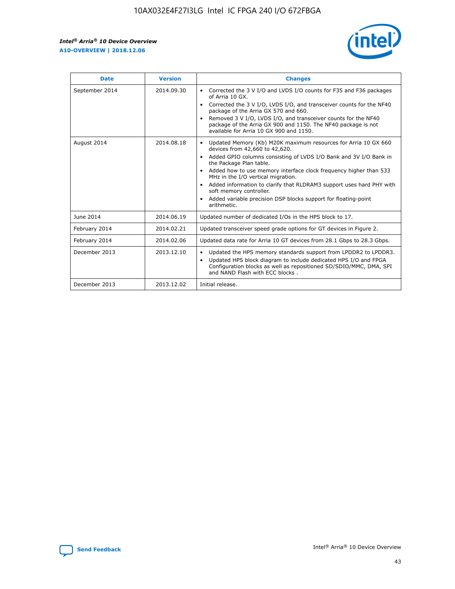r



| <b>Date</b>    | <b>Version</b> | <b>Changes</b>                                                                                                                                                                                                                                                                                                                                                                                                                                                                                                                         |
|----------------|----------------|----------------------------------------------------------------------------------------------------------------------------------------------------------------------------------------------------------------------------------------------------------------------------------------------------------------------------------------------------------------------------------------------------------------------------------------------------------------------------------------------------------------------------------------|
| September 2014 | 2014.09.30     | Corrected the 3 V I/O and LVDS I/O counts for F35 and F36 packages<br>of Arria 10 GX.<br>Corrected the 3 V I/O, LVDS I/O, and transceiver counts for the NF40<br>$\bullet$<br>package of the Arria GX 570 and 660.<br>Removed 3 V I/O, LVDS I/O, and transceiver counts for the NF40<br>package of the Arria GX 900 and 1150. The NF40 package is not<br>available for Arria 10 GX 900 and 1150.                                                                                                                                       |
| August 2014    | 2014.08.18     | Updated Memory (Kb) M20K maximum resources for Arria 10 GX 660<br>devices from 42,660 to 42,620.<br>Added GPIO columns consisting of LVDS I/O Bank and 3V I/O Bank in<br>$\bullet$<br>the Package Plan table.<br>Added how to use memory interface clock frequency higher than 533<br>$\bullet$<br>MHz in the I/O vertical migration.<br>Added information to clarify that RLDRAM3 support uses hard PHY with<br>$\bullet$<br>soft memory controller.<br>Added variable precision DSP blocks support for floating-point<br>arithmetic. |
| June 2014      | 2014.06.19     | Updated number of dedicated I/Os in the HPS block to 17.                                                                                                                                                                                                                                                                                                                                                                                                                                                                               |
| February 2014  | 2014.02.21     | Updated transceiver speed grade options for GT devices in Figure 2.                                                                                                                                                                                                                                                                                                                                                                                                                                                                    |
| February 2014  | 2014.02.06     | Updated data rate for Arria 10 GT devices from 28.1 Gbps to 28.3 Gbps.                                                                                                                                                                                                                                                                                                                                                                                                                                                                 |
| December 2013  | 2013.12.10     | Updated the HPS memory standards support from LPDDR2 to LPDDR3.<br>Updated HPS block diagram to include dedicated HPS I/O and FPGA<br>$\bullet$<br>Configuration blocks as well as repositioned SD/SDIO/MMC, DMA, SPI<br>and NAND Flash with ECC blocks.                                                                                                                                                                                                                                                                               |
| December 2013  | 2013.12.02     | Initial release.                                                                                                                                                                                                                                                                                                                                                                                                                                                                                                                       |